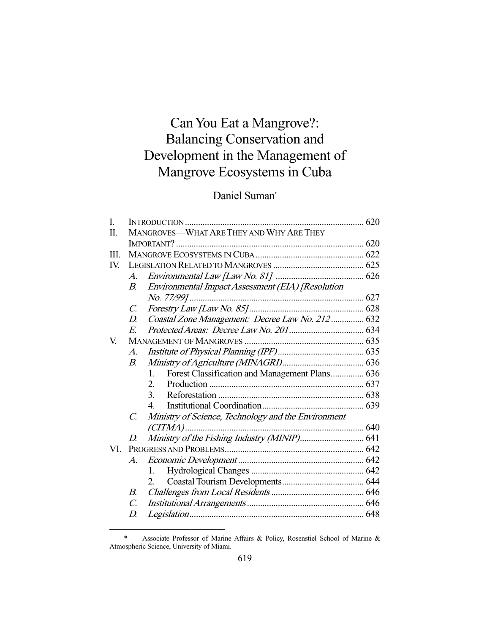# Can You Eat a Mangrove?: Balancing Conservation and Development in the Management of Mangrove Ecosystems in Cuba

# Daniel Suman\*

| I.   |                                          |                                                      |  |  |
|------|------------------------------------------|------------------------------------------------------|--|--|
| Π.   | MANGROVES-WHAT ARE THEY AND WHY ARE THEY |                                                      |  |  |
|      |                                          |                                                      |  |  |
| III. |                                          |                                                      |  |  |
| IV.  |                                          |                                                      |  |  |
|      | A.                                       |                                                      |  |  |
|      | В.                                       | Environmental Impact Assessment (EIA) [Resolution    |  |  |
|      |                                          |                                                      |  |  |
|      | $\mathcal{C}$ .                          |                                                      |  |  |
|      | D.                                       | Coastal Zone Management: Decree Law No. 212 632      |  |  |
|      | E.                                       |                                                      |  |  |
| V.   |                                          |                                                      |  |  |
|      | $\mathcal{A}$ .                          |                                                      |  |  |
|      | В.                                       |                                                      |  |  |
|      |                                          | Forest Classification and Management Plans 636<br>1. |  |  |
|      |                                          | 2.                                                   |  |  |
|      |                                          | 3.                                                   |  |  |
|      |                                          | 4.                                                   |  |  |
|      | $\mathcal{C}$                            | Ministry of Science, Technology and the Environment  |  |  |
|      |                                          |                                                      |  |  |
|      | D.                                       |                                                      |  |  |
| VI.  |                                          |                                                      |  |  |
|      | A.                                       |                                                      |  |  |
|      |                                          | $1_{-}$                                              |  |  |
|      |                                          | 2.                                                   |  |  |
|      | $B_{\cdot}$                              |                                                      |  |  |
|      | $\mathcal{C}$                            |                                                      |  |  |
|      | D.                                       |                                                      |  |  |

 <sup>\*</sup> Associate Professor of Marine Affairs & Policy, Rosenstiel School of Marine & Atmospheric Science, University of Miami.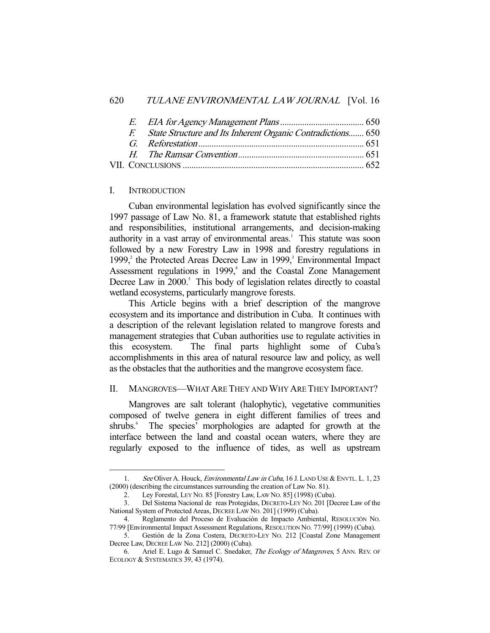|  | F. State Structure and Its Inherent Organic Contradictions 650 |  |
|--|----------------------------------------------------------------|--|
|  |                                                                |  |
|  |                                                                |  |
|  |                                                                |  |

#### I. INTRODUCTION

-

 Cuban environmental legislation has evolved significantly since the 1997 passage of Law No. 81, a framework statute that established rights and responsibilities, institutional arrangements, and decision-making authority in a vast array of environmental areas.<sup>1</sup> This statute was soon followed by a new Forestry Law in 1998 and forestry regulations in 1999, $3$  the Protected Areas Decree Law in 1999, $3$  Environmental Impact Assessment regulations in 1999,<sup>4</sup> and the Coastal Zone Management Decree Law in 2000.<sup>5</sup> This body of legislation relates directly to coastal wetland ecosystems, particularly mangrove forests.

 This Article begins with a brief description of the mangrove ecosystem and its importance and distribution in Cuba. It continues with a description of the relevant legislation related to mangrove forests and management strategies that Cuban authorities use to regulate activities in this ecosystem. The final parts highlight some of Cuba's accomplishments in this area of natural resource law and policy, as well as the obstacles that the authorities and the mangrove ecosystem face.

# II. MANGROVES—WHAT ARE THEY AND WHY ARE THEY IMPORTANT?

 Mangroves are salt tolerant (halophytic), vegetative communities composed of twelve genera in eight different families of trees and shrubs.<sup>6</sup> The species' morphologies are adapted for growth at the interface between the land and coastal ocean waters, where they are regularly exposed to the influence of tides, as well as upstream

<sup>1.</sup> See Oliver A. Houck, *Environmental Law in Cuba*, 16 J. LAND USE & ENVTL. L. 1, 23 (2000) (describing the circumstances surrounding the creation of Law No. 81).

 <sup>2.</sup> Ley Forestal, LEY NO. 85 [Forestry Law, LAW NO. 85] (1998) (Cuba).

 <sup>3.</sup> Del Sistema Nacional de reas Protegidas, DECRETO-LEY NO. 201 [Decree Law of the National System of Protected Areas, DECREE LAW NO. 201] (1999) (Cuba).

 <sup>4.</sup> Reglamento del Proceso de Evaluación de Impacto Ambiental, RESOLUCIÓN NO. 77/99 [Environmental Impact Assessment Regulations, RESOLUTION NO. 77/99] (1999) (Cuba).

 <sup>5.</sup> Gestión de la Zona Costera, DECRETO-LEY NO. 212 [Coastal Zone Management Decree Law, DECREE LAW No. 212] (2000) (Cuba).

<sup>6.</sup> Ariel E. Lugo & Samuel C. Snedaker, The Ecology of Mangroves, 5 ANN. REV. OF ECOLOGY & SYSTEMATICS 39, 43 (1974).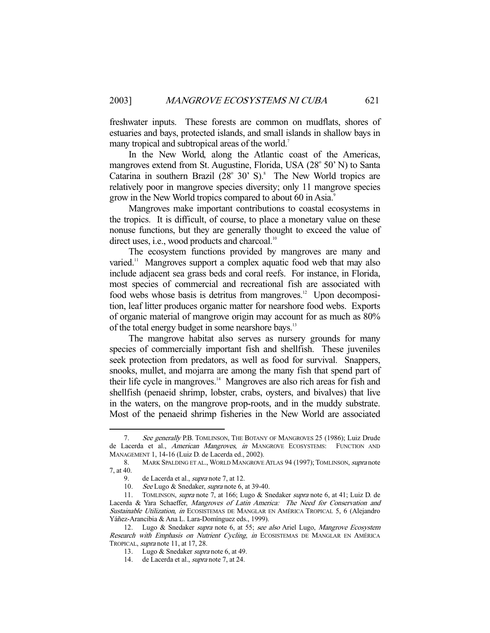freshwater inputs. These forests are common on mudflats, shores of estuaries and bays, protected islands, and small islands in shallow bays in many tropical and subtropical areas of the world.<sup>7</sup>

 In the New World, along the Atlantic coast of the Americas, mangroves extend from St. Augustine, Florida, USA (28° 50' N) to Santa Catarina in southern Brazil  $(28^{\circ}~30^{\circ}~{\rm S})$ .<sup>8</sup> The New World tropics are relatively poor in mangrove species diversity; only 11 mangrove species grow in the New World tropics compared to about 60 in Asia.<sup>9</sup>

 Mangroves make important contributions to coastal ecosystems in the tropics. It is difficult, of course, to place a monetary value on these nonuse functions, but they are generally thought to exceed the value of direct uses, i.e., wood products and charcoal. $10$ 

 The ecosystem functions provided by mangroves are many and varied.<sup>11</sup> Mangroves support a complex aquatic food web that may also include adjacent sea grass beds and coral reefs. For instance, in Florida, most species of commercial and recreational fish are associated with food webs whose basis is detritus from mangroves.<sup>12</sup> Upon decomposition, leaf litter produces organic matter for nearshore food webs. Exports of organic material of mangrove origin may account for as much as 80% of the total energy budget in some nearshore bays.<sup>13</sup>

 The mangrove habitat also serves as nursery grounds for many species of commercially important fish and shellfish. These juveniles seek protection from predators, as well as food for survival. Snappers, snooks, mullet, and mojarra are among the many fish that spend part of their life cycle in mangroves.14 Mangroves are also rich areas for fish and shellfish (penaeid shrimp, lobster, crabs, oysters, and bivalves) that live in the waters, on the mangrove prop-roots, and in the muddy substrate. Most of the penaeid shrimp fisheries in the New World are associated

<sup>7.</sup> See generally P.B. TOMLINSON, THE BOTANY OF MANGROVES 25 (1986); Luiz Drude de Lacerda et al., American Mangroves, in MANGROVE ECOSYSTEMS: FUNCTION AND MANAGEMENT 1, 14-16 (Luiz D. de Lacerda ed., 2002).

<sup>8.</sup> MARK SPALDING ET AL., WORLD MANGROVE ATLAS 94 (1997); TOMLINSON, supra note 7, at 40.

<sup>9.</sup> de Lacerda et al., *supra* note 7, at 12.

 <sup>10.</sup> See Lugo & Snedaker, supra note 6, at 39-40.

<sup>11.</sup> TOMLINSON, *supra* note 7, at 166; Lugo & Snedaker *supra* note 6, at 41; Luiz D. de Lacerda & Yara Schaeffer, Mangroves of Latin America: The Need for Conservation and Sustainable Utilization, in ECOSISTEMAS DE MANGLAR EN AMÉRICA TROPICAL 5, 6 (Alejandro Yáñez-Arancibia & Ana L. Lara-Domínguez eds., 1999).

<sup>12.</sup> Lugo & Snedaker supra note 6, at 55; see also Ariel Lugo, Mangrove Ecosystem Research with Emphasis on Nutrient Cycling, in ECOSISTEMAS DE MANGLAR EN AMÉRICA TROPICAL, supra note 11, at 17, 28.

<sup>13.</sup> Lugo & Snedaker *supra* note 6, at 49.

 <sup>14.</sup> de Lacerda et al., supra note 7, at 24.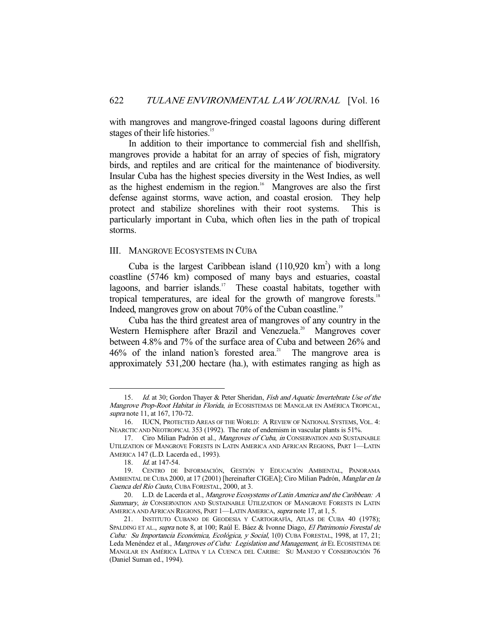with mangroves and mangrove-fringed coastal lagoons during different stages of their life histories.<sup>15</sup>

 In addition to their importance to commercial fish and shellfish, mangroves provide a habitat for an array of species of fish, migratory birds, and reptiles and are critical for the maintenance of biodiversity. Insular Cuba has the highest species diversity in the West Indies, as well as the highest endemism in the region.<sup>16</sup> Mangroves are also the first defense against storms, wave action, and coastal erosion. They help protect and stabilize shorelines with their root systems. This is particularly important in Cuba, which often lies in the path of tropical storms.

# III. MANGROVE ECOSYSTEMS IN CUBA

Cuba is the largest Caribbean island  $(110,920 \text{ km}^2)$  with a long coastline (5746 km) composed of many bays and estuaries, coastal lagoons, and barrier islands.<sup>17</sup> These coastal habitats, together with tropical temperatures, are ideal for the growth of mangrove forests.<sup>18</sup> Indeed, mangroves grow on about  $70\%$  of the Cuban coastline.<sup>19</sup>

 Cuba has the third greatest area of mangroves of any country in the Western Hemisphere after Brazil and Venezuela.<sup>20</sup> Mangroves cover between 4.8% and 7% of the surface area of Cuba and between 26% and  $46\%$  of the inland nation's forested area.<sup>21</sup> The mangrove area is approximately 531,200 hectare (ha.), with estimates ranging as high as

<sup>15.</sup> Id. at 30; Gordon Thayer & Peter Sheridan, Fish and Aquatic Invertebrate Use of the Mangrove Prop-Root Habitat in Florida, in ECOSISTEMAS DE MANGLAR EN AMÉRICA TROPICAL, supra note 11, at 167, 170-72.

 <sup>16.</sup> IUCN, PROTECTED AREAS OF THE WORLD: A REVIEW OF NATIONAL SYSTEMS, VOL. 4: NEARCTIC AND NEOTROPICAL 353 (1992). The rate of endemism in vascular plants is 51%.

<sup>17.</sup> Ciro Milian Padrón et al., *Mangroves of Cuba*, in CONSERVATION AND SUSTAINABLE UTILIZATION OF MANGROVE FORESTS IN LATIN AMERICA AND AFRICAN REGIONS, PART 1—LATIN AMERICA 147 (L.D. Lacerda ed., 1993).

<sup>18.</sup> *Id.* at 147-54.

 <sup>19.</sup> CENTRO DE INFORMACIÓN, GESTIÓN Y EDUCACIÓN AMBIENTAL, PANORAMA AMBIENTAL DE CUBA 2000, at 17 (2001) [hereinafter CIGEA]; Ciro Milian Padrón, Manglar en la Cuenca del Río Cauto, CUBA FORESTAL, 2000, at 3.

<sup>20.</sup> L.D. de Lacerda et al., Mangrove Ecosystems of Latin America and the Caribbean: A Summary, in CONSERVATION AND SUSTAINABLE UTILIZATION OF MANGROVE FORESTS IN LATIN AMERICA AND AFRICAN REGIONS, PART 1-LATIN AMERICA, *supra* note 17, at 1, 5.

 <sup>21.</sup> INSTITUTO CUBANO DE GEODESIA Y CARTOGRAFÍA, ATLAS DE CUBA 40 (1978); SPALDING ET AL., supra note 8, at 100; Raúl E. Báez & Ivonne Diago, El Patrimonio Forestal de Cuba: Su Importancia Económica, Ecológica, y Social, 1(0) CUBA FORESTAL, 1998, at 17, 21; Leda Menéndez et al., Mangroves of Cuba: Legislation and Management, in EL ECOSISTEMA DE MANGLAR EN AMÉRICA LATINA Y LA CUENCA DEL CARIBE: SU MANEJO Y CONSERVACIÓN 76 (Daniel Suman ed., 1994).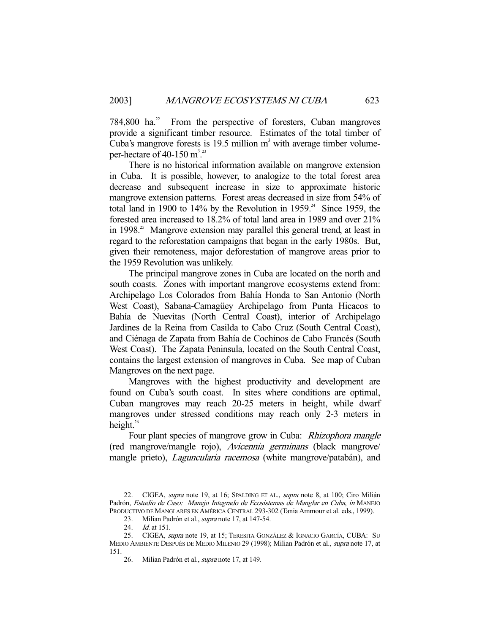784,800 ha.<sup>22</sup> From the perspective of foresters, Cuban mangroves provide a significant timber resource. Estimates of the total timber of Cuba's mangrove forests is  $19.5$  million m<sup>3</sup> with average timber volumeper-hectare of  $40-150$  m<sup>3</sup>.<sup>23</sup>

 There is no historical information available on mangrove extension in Cuba. It is possible, however, to analogize to the total forest area decrease and subsequent increase in size to approximate historic mangrove extension patterns. Forest areas decreased in size from 54% of total land in 1900 to  $14\%$  by the Revolution in 1959.<sup>24</sup> Since 1959, the forested area increased to 18.2% of total land area in 1989 and over 21% in 1998<sup>25</sup> Mangrove extension may parallel this general trend, at least in regard to the reforestation campaigns that began in the early 1980s. But, given their remoteness, major deforestation of mangrove areas prior to the 1959 Revolution was unlikely.

 The principal mangrove zones in Cuba are located on the north and south coasts. Zones with important mangrove ecosystems extend from: Archipelago Los Colorados from Bahía Honda to San Antonio (North West Coast), Sabana-Camagüey Archipelago from Punta Hicacos to Bahía de Nuevitas (North Central Coast), interior of Archipelago Jardines de la Reina from Casilda to Cabo Cruz (South Central Coast), and Ciénaga de Zapata from Bahía de Cochinos de Cabo Francés (South West Coast). The Zapata Peninsula, located on the South Central Coast, contains the largest extension of mangroves in Cuba. See map of Cuban Mangroves on the next page.

 Mangroves with the highest productivity and development are found on Cuba's south coast. In sites where conditions are optimal, Cuban mangroves may reach 20-25 meters in height, while dwarf mangroves under stressed conditions may reach only 2-3 meters in height. $^{26}$ 

Four plant species of mangrove grow in Cuba: *Rhizophora mangle* (red mangrove/mangle rojo), Avicennia germinans (black mangrove/ mangle prieto), Laguncularia racemosa (white mangrove/patabán), and

<sup>22.</sup> CIGEA, *supra* note 19, at 16; SPALDING ET AL., *supra* note 8, at 100; Ciro Milián Padrón, Estudio de Caso: Manejo Integrado de Ecosistemas de Manglar en Cuba, in MANEJO PRODUCTIVO DE MANGLARES EN AMÉRICA CENTRAL 293-302 (Tania Ammour et al. eds., 1999).

<sup>23.</sup> Milian Padrón et al., *supra* note 17, at 147-54.

<sup>24.</sup> *Id.* at 151.<br>25. CIGEA. *s* 

 <sup>25.</sup> CIGEA, supra note 19, at 15; TERESITA GONZÁLEZ & IGNACIO GARCÍA, CUBA: SU MEDIO AMBIENTE DESPUÉS DE MEDIO MILENIO 29 (1998); Milian Padrón et al., supra note 17, at 151.

 <sup>26.</sup> Milian Padrón et al., supra note 17, at 149.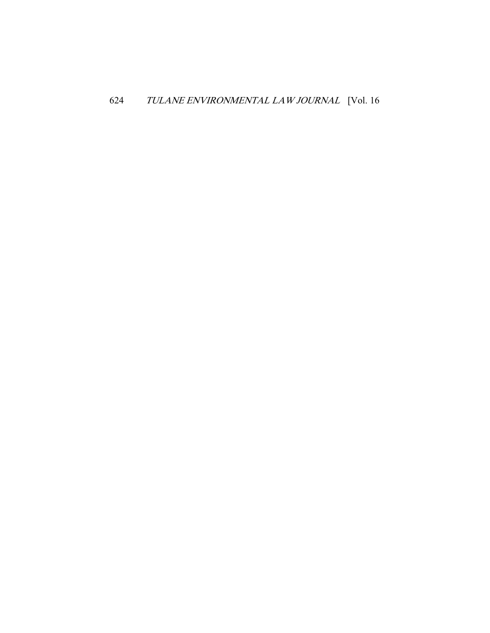# TULANE ENVIRONMENTAL LAW JOURNAL [Vol. 16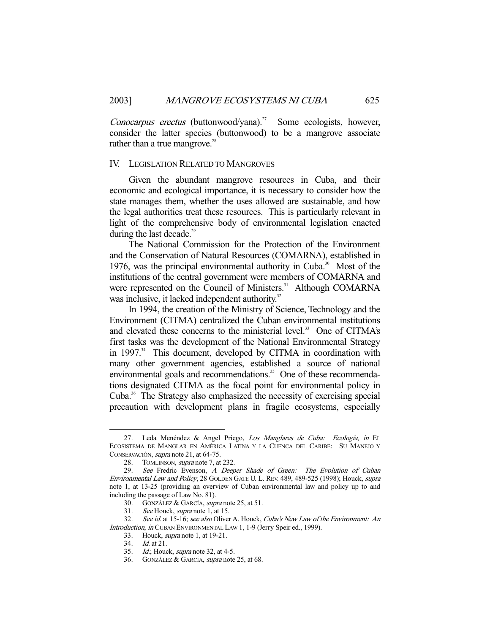$Conocarpus$  erectus (buttonwood/yana).<sup>27</sup> Some ecologists, however, consider the latter species (buttonwood) to be a mangrove associate rather than a true mangrove.<sup>28</sup>

#### IV. LEGISLATION RELATED TO MANGROVES

 Given the abundant mangrove resources in Cuba, and their economic and ecological importance, it is necessary to consider how the state manages them, whether the uses allowed are sustainable, and how the legal authorities treat these resources. This is particularly relevant in light of the comprehensive body of environmental legislation enacted during the last decade.<sup>29</sup>

 The National Commission for the Protection of the Environment and the Conservation of Natural Resources (COMARNA), established in 1976, was the principal environmental authority in Cuba. $30$  Most of the institutions of the central government were members of COMARNA and were represented on the Council of Ministers.<sup>31</sup> Although COMARNA was inclusive, it lacked independent authority.<sup>32</sup>

 In 1994, the creation of the Ministry of Science, Technology and the Environment (CITMA) centralized the Cuban environmental institutions and elevated these concerns to the ministerial level.<sup>33</sup> One of CITMA's first tasks was the development of the National Environmental Strategy in 1997.<sup>34</sup> This document, developed by CITMA in coordination with many other government agencies, established a source of national environmental goals and recommendations.<sup>35</sup> One of these recommendations designated CITMA as the focal point for environmental policy in Cuba.36 The Strategy also emphasized the necessity of exercising special precaution with development plans in fragile ecosystems, especially

<sup>27.</sup> Leda Menéndez & Angel Priego, Los Manglares de Cuba: Ecología, in EL ECOSISTEMA DE MANGLAR EN AMÉRICA LATINA Y LA CUENCA DEL CARIBE: SU MANEJO Y CONSERVACIÓN, supra note 21, at 64-75.

<sup>28.</sup> TOMLINSON, *supra* note 7, at 232.

 <sup>29.</sup> See Fredric Evenson, A Deeper Shade of Green: The Evolution of Cuban Environmental Law and Policy, 28 GOLDEN GATE U. L. REV. 489, 489-525 (1998); Houck, supra note 1, at 13-25 (providing an overview of Cuban environmental law and policy up to and including the passage of Law No. 81).

 <sup>30.</sup> GONZÁLEZ & GARCÍA, supra note 25, at 51.

 <sup>31.</sup> See Houck, supra note 1, at 15.

 <sup>32.</sup> See id. at 15-16; see also Oliver A. Houck, Cuba's New Law of the Environment: An Introduction, in CUBAN ENVIRONMENTAL LAW 1, 1-9 (Jerry Speir ed., 1999).

 <sup>33.</sup> Houck, supra note 1, at 19-21.

 <sup>34.</sup> Id. at 21.

<sup>35.</sup> Id.; Houck, *supra* note 32, at 4-5.

<sup>36.</sup> GONZÁLEZ & GARCÍA, supra note 25, at 68.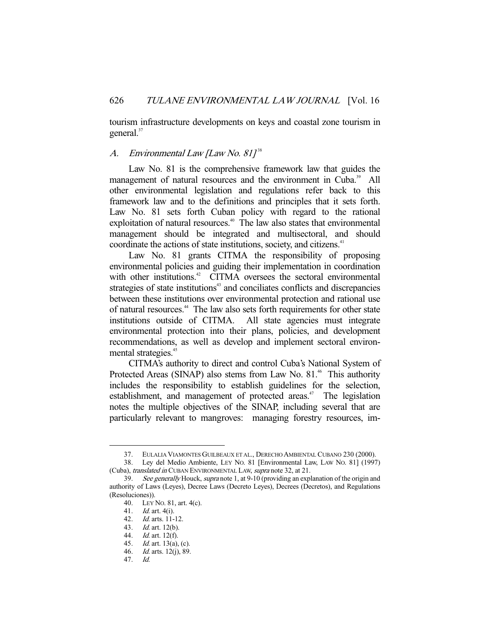tourism infrastructure developments on keys and coastal zone tourism in general.<sup>37</sup>

# A. Environmental Law [Law No.  $811^{38}$

 Law No. 81 is the comprehensive framework law that guides the management of natural resources and the environment in Cuba.<sup>39</sup> All other environmental legislation and regulations refer back to this framework law and to the definitions and principles that it sets forth. Law No. 81 sets forth Cuban policy with regard to the rational exploitation of natural resources. $40$  The law also states that environmental management should be integrated and multisectoral, and should coordinate the actions of state institutions, society, and citizens.<sup>41</sup>

 Law No. 81 grants CITMA the responsibility of proposing environmental policies and guiding their implementation in coordination with other institutions.<sup>42</sup> CITMA oversees the sectoral environmental strategies of state institutions<sup>43</sup> and conciliates conflicts and discrepancies between these institutions over environmental protection and rational use of natural resources.44 The law also sets forth requirements for other state institutions outside of CITMA. All state agencies must integrate environmental protection into their plans, policies, and development recommendations, as well as develop and implement sectoral environmental strategies.<sup>45</sup>

 CITMA's authority to direct and control Cuba's National System of Protected Areas (SINAP) also stems from Law No. 81.<sup>46</sup> This authority includes the responsibility to establish guidelines for the selection, establishment, and management of protected areas.<sup>47</sup> The legislation notes the multiple objectives of the SINAP, including several that are particularly relevant to mangroves: managing forestry resources, im-

 <sup>37.</sup> EULALIA VIAMONTES GUILBEAUX ET AL., DERECHO AMBIENTAL CUBANO 230 (2000).

 <sup>38.</sup> Ley del Medio Ambiente, LEY NO. 81 [Environmental Law, LAW NO. 81] (1997) (Cuba), translated in CUBAN ENVIRONMENTAL LAW, supra note 32, at 21.

<sup>39.</sup> See generally Houck, supra note 1, at 9-10 (providing an explanation of the origin and authority of Laws (Leyes), Decree Laws (Decreto Leyes), Decrees (Decretos), and Regulations (Resoluciones)).

 <sup>40.</sup> LEY NO. 81, art. 4(c).

 <sup>41.</sup> Id. art. 4(i).

 <sup>42.</sup> Id. arts. 11-12.

 <sup>43.</sup> Id. art. 12(b).

 <sup>44.</sup> Id. art. 12(f).

 <sup>45.</sup> Id. art. 13(a), (c).

 <sup>46.</sup> Id. arts. 12(j), 89.

 <sup>47.</sup> Id.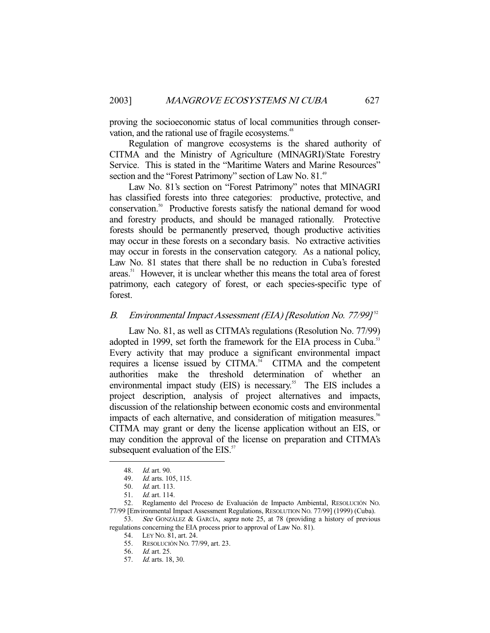proving the socioeconomic status of local communities through conservation, and the rational use of fragile ecosystems.<sup>48</sup>

 Regulation of mangrove ecosystems is the shared authority of CITMA and the Ministry of Agriculture (MINAGRI)/State Forestry Service. This is stated in the "Maritime Waters and Marine Resources" section and the "Forest Patrimony" section of Law No. 81.<sup>49</sup>

 Law No. 81's section on "Forest Patrimony" notes that MINAGRI has classified forests into three categories: productive, protective, and conservation.50 Productive forests satisfy the national demand for wood and forestry products, and should be managed rationally. Protective forests should be permanently preserved, though productive activities may occur in these forests on a secondary basis. No extractive activities may occur in forests in the conservation category. As a national policy, Law No. 81 states that there shall be no reduction in Cuba's forested areas.51 However, it is unclear whether this means the total area of forest patrimony, each category of forest, or each species-specific type of forest.

#### B. Environmental Impact Assessment (EIA) [Resolution No. 77/99]<sup>52</sup>

 Law No. 81, as well as CITMA's regulations (Resolution No. 77/99) adopted in 1999, set forth the framework for the EIA process in Cuba.<sup>53</sup> Every activity that may produce a significant environmental impact requires a license issued by CITMA.<sup>54</sup> CITMA and the competent authorities make the threshold determination of whether an environmental impact study (EIS) is necessary.<sup>55</sup> The EIS includes a project description, analysis of project alternatives and impacts, discussion of the relationship between economic costs and environmental impacts of each alternative, and consideration of mitigation measures.<sup>56</sup> CITMA may grant or deny the license application without an EIS, or may condition the approval of the license on preparation and CITMA's subsequent evaluation of the EIS.<sup>57</sup>

 <sup>48.</sup> Id. art. 90.

 <sup>49.</sup> Id. arts. 105, 115.

 <sup>50.</sup> Id. art. 113.

 <sup>51.</sup> Id. art. 114.

 <sup>52.</sup> Reglamento del Proceso de Evaluación de Impacto Ambiental, RESOLUCIÓN NO. 77/99 [Environmental Impact Assessment Regulations, RESOLUTION NO. 77/99] (1999) (Cuba).

 <sup>53.</sup> See GONZÁLEZ & GARCÍA, supra note 25, at 78 (providing a history of previous regulations concerning the EIA process prior to approval of Law No. 81).

 <sup>54.</sup> LEY NO. 81, art. 24.

 <sup>55.</sup> RESOLUCIÓN NO. 77/99, art. 23.

 <sup>56.</sup> Id. art. 25.

 <sup>57.</sup> Id. arts. 18, 30.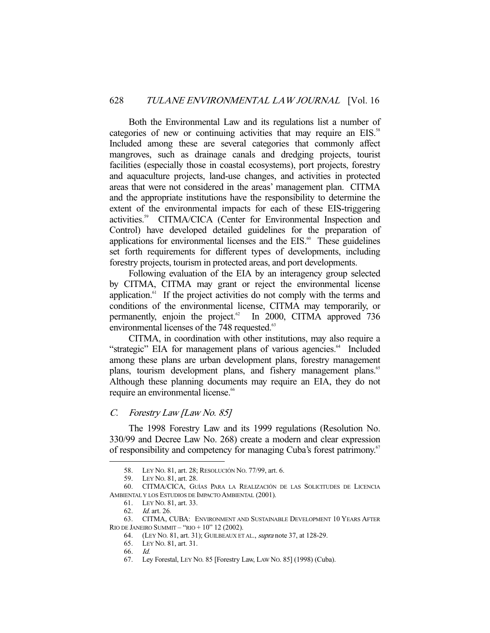Both the Environmental Law and its regulations list a number of categories of new or continuing activities that may require an EIS.<sup>58</sup> Included among these are several categories that commonly affect mangroves, such as drainage canals and dredging projects, tourist facilities (especially those in coastal ecosystems), port projects, forestry and aquaculture projects, land-use changes, and activities in protected areas that were not considered in the areas' management plan. CITMA and the appropriate institutions have the responsibility to determine the extent of the environmental impacts for each of these EIS-triggering activities.59 CITMA/CICA (Center for Environmental Inspection and Control) have developed detailed guidelines for the preparation of applications for environmental licenses and the  $EIS<sup>60</sup>$ . These guidelines set forth requirements for different types of developments, including forestry projects, tourism in protected areas, and port developments.

 Following evaluation of the EIA by an interagency group selected by CITMA, CITMA may grant or reject the environmental license application. $61$  If the project activities do not comply with the terms and conditions of the environmental license, CITMA may temporarily, or permanently, enjoin the project. $62$  In 2000, CITMA approved 736 environmental licenses of the 748 requested.<sup>63</sup>

 CITMA, in coordination with other institutions, may also require a "strategic" EIA for management plans of various agencies.<sup>64</sup> Included among these plans are urban development plans, forestry management plans, tourism development plans, and fishery management plans.<sup>65</sup> Although these planning documents may require an EIA, they do not require an environmental license.<sup>66</sup>

# C. Forestry Law [Law No. 85]

 The 1998 Forestry Law and its 1999 regulations (Resolution No. 330/99 and Decree Law No. 268) create a modern and clear expression of responsibility and competency for managing Cuba's forest patrimony.<sup>67</sup>

 <sup>58.</sup> LEY NO. 81, art. 28; RESOLUCIÓN NO. 77/99, art. 6.

 <sup>59.</sup> LEY NO. 81, art. 28.

 <sup>60.</sup> CITMA/CICA, GUÍAS PARA LA REALIZACIÓN DE LAS SOLICITUDES DE LICENCIA AMBIENTAL Y LOS ESTUDIOS DE IMPACTO AMBIENTAL (2001).

 <sup>61.</sup> LEY NO. 81, art. 33.

 <sup>62.</sup> Id. art. 26.

 <sup>63.</sup> CITMA, CUBA: ENVIRONMENT AND SUSTAINABLE DEVELOPMENT 10 YEARS AFTER RIO DE JANEIRO SUMMIT – "RIO + 10" 12 (2002).

 <sup>64. (</sup>LEY NO. 81, art. 31); GUILBEAUX ET AL., supra note 37, at 128-29.

 <sup>65.</sup> LEY NO. 81, art. 31.

 <sup>66.</sup> Id.

 <sup>67.</sup> Ley Forestal, LEY NO. 85 [Forestry Law, LAW NO. 85] (1998) (Cuba).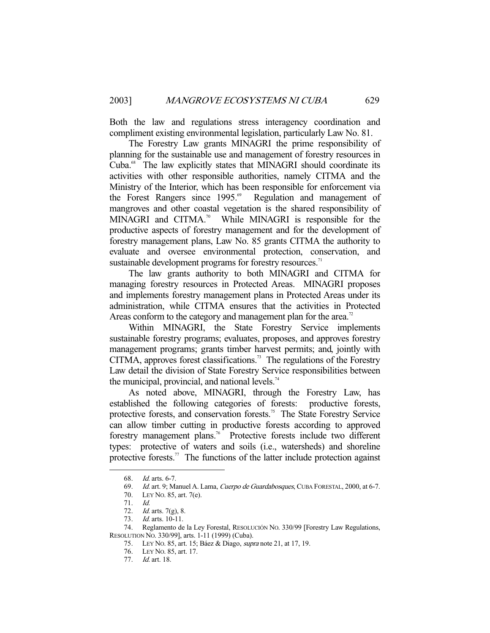Both the law and regulations stress interagency coordination and compliment existing environmental legislation, particularly Law No. 81.

 The Forestry Law grants MINAGRI the prime responsibility of planning for the sustainable use and management of forestry resources in Cuba.<sup>68</sup> The law explicitly states that MINAGRI should coordinate its activities with other responsible authorities, namely CITMA and the Ministry of the Interior, which has been responsible for enforcement via the Forest Rangers since 1995.<sup>69</sup> Regulation and management of mangroves and other coastal vegetation is the shared responsibility of MINAGRI and CITMA.<sup>70</sup> While MINAGRI is responsible for the productive aspects of forestry management and for the development of forestry management plans, Law No. 85 grants CITMA the authority to evaluate and oversee environmental protection, conservation, and sustainable development programs for forestry resources.<sup>71</sup>

 The law grants authority to both MINAGRI and CITMA for managing forestry resources in Protected Areas. MINAGRI proposes and implements forestry management plans in Protected Areas under its administration, while CITMA ensures that the activities in Protected Areas conform to the category and management plan for the area.<sup>72</sup>

 Within MINAGRI, the State Forestry Service implements sustainable forestry programs; evaluates, proposes, and approves forestry management programs; grants timber harvest permits; and, jointly with CITMA, approves forest classifications.<sup>73</sup> The regulations of the Forestry Law detail the division of State Forestry Service responsibilities between the municipal, provincial, and national levels.<sup>74</sup>

 As noted above, MINAGRI, through the Forestry Law, has established the following categories of forests: productive forests, protective forests, and conservation forests.<sup>75</sup> The State Forestry Service can allow timber cutting in productive forests according to approved forestry management plans.76 Protective forests include two different types: protective of waters and soils (i.e., watersheds) and shoreline protective forests. $\mathbf{7}$  The functions of the latter include protection against

 <sup>68.</sup> Id. arts. 6-7.

<sup>69.</sup> Id. art. 9; Manuel A. Lama, Cuerpo de Guardabosques, CUBA FORESTAL, 2000, at 6-7.

 <sup>70.</sup> LEY NO. 85, art. 7(e).

 <sup>71.</sup> Id.

<sup>72.</sup> *Id.* arts. 7(g), 8.<br>73. *Id.* arts. 10-11.

*Id.* arts. 10-11.

 <sup>74.</sup> Reglamento de la Ley Forestal, RESOLUCIÓN NO. 330/99 [Forestry Law Regulations, RESOLUTION NO. 330/99], arts. 1-11 (1999) (Cuba).

 <sup>75.</sup> LEY NO. 85, art. 15; Báez & Diago, supra note 21, at 17, 19.

 <sup>76.</sup> LEY NO. 85, art. 17.

 <sup>77.</sup> Id. art. 18.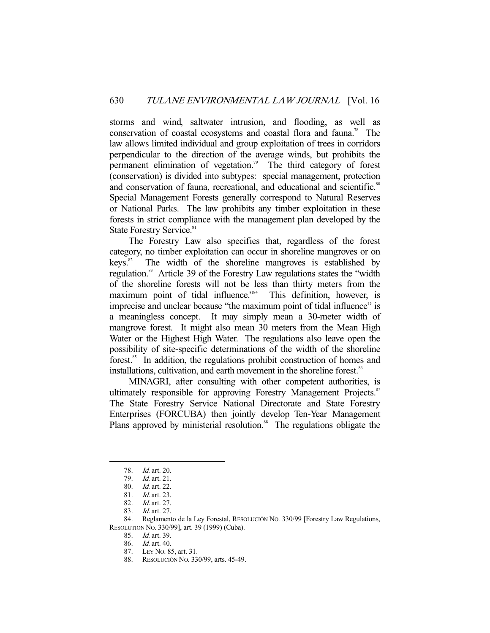storms and wind, saltwater intrusion, and flooding, as well as conservation of coastal ecosystems and coastal flora and fauna.<sup>78</sup> The law allows limited individual and group exploitation of trees in corridors perpendicular to the direction of the average winds, but prohibits the permanent elimination of vegetation.<sup>79</sup> The third category of forest (conservation) is divided into subtypes: special management, protection and conservation of fauna, recreational, and educational and scientific.<sup>80</sup> Special Management Forests generally correspond to Natural Reserves or National Parks. The law prohibits any timber exploitation in these forests in strict compliance with the management plan developed by the State Forestry Service.<sup>81</sup>

 The Forestry Law also specifies that, regardless of the forest category, no timber exploitation can occur in shoreline mangroves or on keys. $82$  The width of the shoreline mangroves is established by regulation.<sup>83</sup> Article 39 of the Forestry Law regulations states the "width" of the shoreline forests will not be less than thirty meters from the maximum point of tidal influence."<sup>84</sup> This definition, however, is imprecise and unclear because "the maximum point of tidal influence" is a meaningless concept. It may simply mean a 30-meter width of mangrove forest. It might also mean 30 meters from the Mean High Water or the Highest High Water. The regulations also leave open the possibility of site-specific determinations of the width of the shoreline forest.<sup>85</sup> In addition, the regulations prohibit construction of homes and installations, cultivation, and earth movement in the shoreline forest.<sup>86</sup>

 MINAGRI, after consulting with other competent authorities, is ultimately responsible for approving Forestry Management Projects.<sup>87</sup> The State Forestry Service National Directorate and State Forestry Enterprises (FORCUBA) then jointly develop Ten-Year Management Plans approved by ministerial resolution.<sup>88</sup> The regulations obligate the

 <sup>78.</sup> Id. art. 20.

 <sup>79.</sup> Id. art. 21.

 <sup>80.</sup> Id. art. 22.

 <sup>81.</sup> Id. art. 23.

 <sup>82.</sup> Id. art. 27.

<sup>83.</sup> *Id.* art. 27.<br>84. Reglament

Reglamento de la Ley Forestal, RESOLUCIÓN NO. 330/99 [Forestry Law Regulations, RESOLUTION NO. 330/99], art. 39 (1999) (Cuba).

 <sup>85.</sup> Id. art. 39.

 <sup>86.</sup> Id. art. 40.

 <sup>87.</sup> LEY NO. 85, art. 31.

 <sup>88.</sup> RESOLUCIÓN NO. 330/99, arts. 45-49.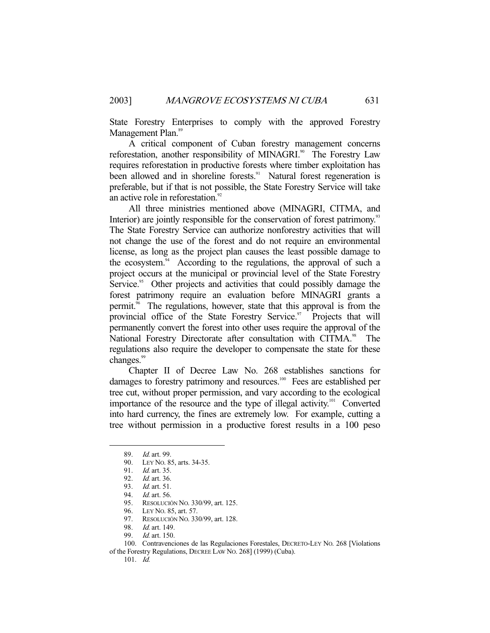State Forestry Enterprises to comply with the approved Forestry Management Plan.<sup>89</sup>

 A critical component of Cuban forestry management concerns reforestation, another responsibility of MINAGRI.<sup>90</sup> The Forestry Law requires reforestation in productive forests where timber exploitation has been allowed and in shoreline forests.<sup>91</sup> Natural forest regeneration is preferable, but if that is not possible, the State Forestry Service will take an active role in reforestation. $92$ 

 All three ministries mentioned above (MINAGRI, CITMA, and Interior) are jointly responsible for the conservation of forest patrimony.<sup>93</sup> The State Forestry Service can authorize nonforestry activities that will not change the use of the forest and do not require an environmental license, as long as the project plan causes the least possible damage to the ecosystem. $94$  According to the regulations, the approval of such a project occurs at the municipal or provincial level of the State Forestry Service.<sup>95</sup> Other projects and activities that could possibly damage the forest patrimony require an evaluation before MINAGRI grants a permit.<sup>96</sup> The regulations, however, state that this approval is from the provincial office of the State Forestry Service.<sup>97</sup> Projects that will permanently convert the forest into other uses require the approval of the National Forestry Directorate after consultation with CITMA.<sup>98</sup> The regulations also require the developer to compensate the state for these changes.<sup>99</sup>

 Chapter II of Decree Law No. 268 establishes sanctions for damages to forestry patrimony and resources.<sup>100</sup> Fees are established per tree cut, without proper permission, and vary according to the ecological importance of the resource and the type of illegal activity.<sup>101</sup> Converted into hard currency, the fines are extremely low. For example, cutting a tree without permission in a productive forest results in a 100 peso

-

96. LEY NO. 85, art. 57.

 100. Contravenciones de las Regulaciones Forestales, DECRETO-LEY NO. 268 [Violations of the Forestry Regulations, DECREE LAW NO. 268] (1999) (Cuba).

101. Id.

 <sup>89.</sup> Id. art. 99.

 <sup>90.</sup> LEY NO. 85, arts. 34-35.

<sup>91.</sup> *Id.* art. 35.

 <sup>92.</sup> Id. art. 36.

 <sup>93.</sup> Id. art. 51.

 <sup>94.</sup> Id. art. 56.

 <sup>95.</sup> RESOLUCIÓN NO. 330/99, art. 125.

 <sup>97.</sup> RESOLUCIÓN NO. 330/99, art. 128.

 <sup>98.</sup> Id. art. 149.

 <sup>99.</sup> Id. art. 150.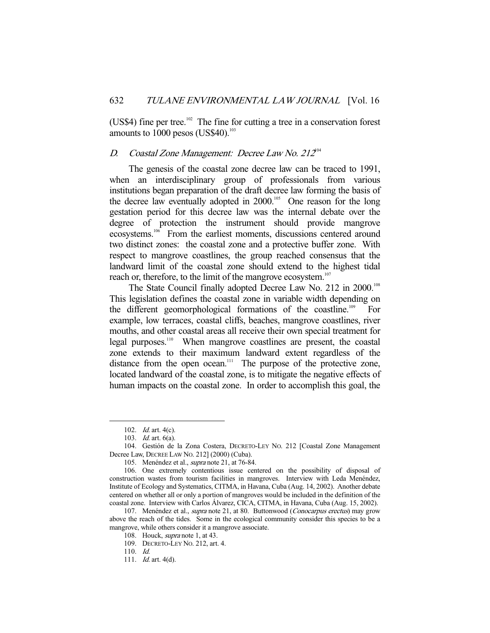(US\$4) fine per tree.<sup>102</sup> The fine for cutting a tree in a conservation forest amounts to  $1000$  pesos (US\$40). $^{103}$ 

# D. Coastal Zone Management: Decree Law No. 212<sup>04</sup>

 The genesis of the coastal zone decree law can be traced to 1991, when an interdisciplinary group of professionals from various institutions began preparation of the draft decree law forming the basis of the decree law eventually adopted in 2000.<sup>105</sup> One reason for the long gestation period for this decree law was the internal debate over the degree of protection the instrument should provide mangrove ecosystems.<sup>106</sup> From the earliest moments, discussions centered around two distinct zones: the coastal zone and a protective buffer zone. With respect to mangrove coastlines, the group reached consensus that the landward limit of the coastal zone should extend to the highest tidal reach or, therefore, to the limit of the mangrove ecosystem.<sup>107</sup>

The State Council finally adopted Decree Law No. 212 in 2000.<sup>108</sup> This legislation defines the coastal zone in variable width depending on the different geomorphological formations of the coastline.<sup>109</sup> For example, low terraces, coastal cliffs, beaches, mangrove coastlines, river mouths, and other coastal areas all receive their own special treatment for legal purposes.<sup>110</sup> When mangrove coastlines are present, the coastal zone extends to their maximum landward extent regardless of the distance from the open ocean.<sup>111</sup> The purpose of the protective zone, located landward of the coastal zone, is to mitigate the negative effects of human impacts on the coastal zone. In order to accomplish this goal, the

 <sup>102.</sup> Id. art. 4(c).

 <sup>103.</sup> Id. art. 6(a).

 <sup>104.</sup> Gestión de la Zona Costera, DECRETO-LEY NO. 212 [Coastal Zone Management Decree Law, DECREE LAW NO. 212] (2000) (Cuba).

 <sup>105.</sup> Menéndez et al., supra note 21, at 76-84.

 <sup>106.</sup> One extremely contentious issue centered on the possibility of disposal of construction wastes from tourism facilities in mangroves. Interview with Leda Menéndez, Institute of Ecology and Systematics, CITMA, in Havana, Cuba (Aug. 14, 2002). Another debate centered on whether all or only a portion of mangroves would be included in the definition of the coastal zone. Interview with Carlos Álvarez, CICA, CITMA, in Havana, Cuba (Aug. 15, 2002).

 <sup>107.</sup> Menéndez et al., supra note 21, at 80. Buttonwood (Conocarpus erectus) may grow above the reach of the tides. Some in the ecological community consider this species to be a mangrove, while others consider it a mangrove associate.

<sup>108.</sup> Houck, *supra* note 1, at 43.

 <sup>109.</sup> DECRETO-LEY NO. 212, art. 4.

 <sup>110.</sup> Id.

 <sup>111.</sup> Id. art. 4(d).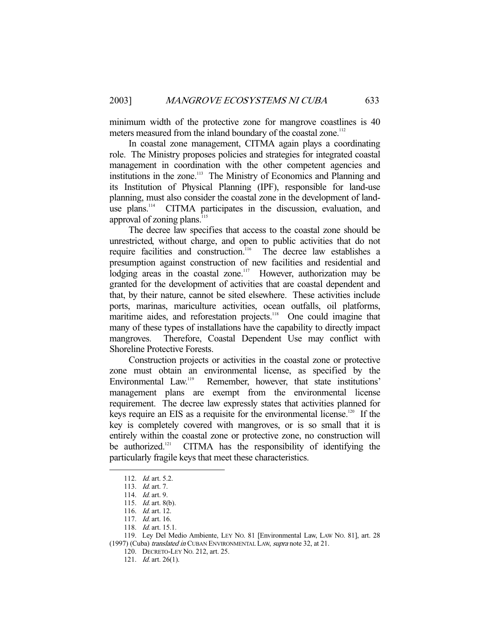minimum width of the protective zone for mangrove coastlines is 40 meters measured from the inland boundary of the coastal zone.<sup>112</sup>

 In coastal zone management, CITMA again plays a coordinating role. The Ministry proposes policies and strategies for integrated coastal management in coordination with the other competent agencies and institutions in the zone.113 The Ministry of Economics and Planning and its Institution of Physical Planning (IPF), responsible for land-use planning, must also consider the coastal zone in the development of landuse plans.<sup>114</sup> CITMA participates in the discussion, evaluation, and approval of zoning plans.<sup>115</sup>

 The decree law specifies that access to the coastal zone should be unrestricted, without charge, and open to public activities that do not require facilities and construction.<sup>116</sup> The decree law establishes a presumption against construction of new facilities and residential and lodging areas in the coastal zone.<sup>117</sup> However, authorization may be granted for the development of activities that are coastal dependent and that, by their nature, cannot be sited elsewhere. These activities include ports, marinas, mariculture activities, ocean outfalls, oil platforms, maritime aides, and reforestation projects.<sup>118</sup> One could imagine that many of these types of installations have the capability to directly impact mangroves. Therefore, Coastal Dependent Use may conflict with Shoreline Protective Forests.

 Construction projects or activities in the coastal zone or protective zone must obtain an environmental license, as specified by the Environmental Law.<sup>119</sup> Remember, however, that state institutions' management plans are exempt from the environmental license requirement. The decree law expressly states that activities planned for keys require an EIS as a requisite for the environmental license.<sup>120</sup> If the key is completely covered with mangroves, or is so small that it is entirely within the coastal zone or protective zone, no construction will be authorized.<sup>121</sup> CITMA has the responsibility of identifying the particularly fragile keys that meet these characteristics.

<sup>112.</sup> *Id.* art. 5.2.

 <sup>113.</sup> Id. art. 7.

 <sup>114.</sup> Id. art. 9.

 <sup>115.</sup> Id. art. 8(b).

 <sup>116.</sup> Id. art. 12.

 <sup>117.</sup> Id. art. 16.

 <sup>118.</sup> Id. art. 15.1.

 <sup>119.</sup> Ley Del Medio Ambiente, LEY NO. 81 [Environmental Law, LAW NO. 81], art. 28 (1997) (Cuba) translated in CUBAN ENVIRONMENTAL LAW, supra note 32, at 21.

 <sup>120.</sup> DECRETO-LEY NO. 212, art. 25.

 <sup>121.</sup> Id. art. 26(1).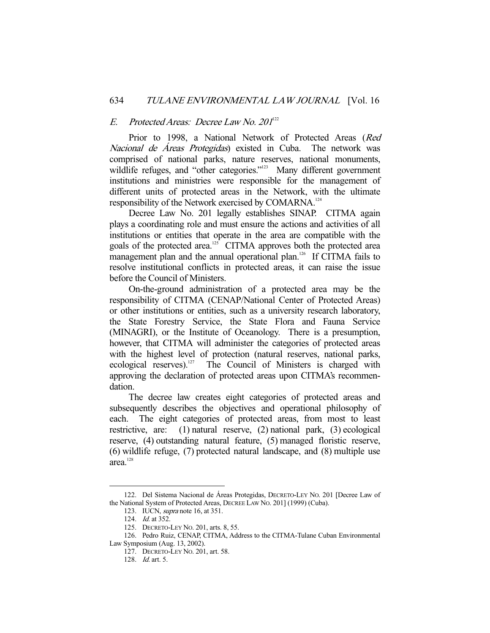# E. Protected Areas: Decree Law No. 201<sup>122</sup>

 Prior to 1998, a National Network of Protected Areas (Red Nacional de Áreas Protegidas) existed in Cuba. The network was comprised of national parks, nature reserves, national monuments, wildlife refuges, and "other categories."<sup>123</sup> Many different government institutions and ministries were responsible for the management of different units of protected areas in the Network, with the ultimate responsibility of the Network exercised by COMARNA.124

 Decree Law No. 201 legally establishes SINAP. CITMA again plays a coordinating role and must ensure the actions and activities of all institutions or entities that operate in the area are compatible with the goals of the protected area.<sup>125</sup> CITMA approves both the protected area management plan and the annual operational plan.<sup>126</sup> If CITMA fails to resolve institutional conflicts in protected areas, it can raise the issue before the Council of Ministers.

 On-the-ground administration of a protected area may be the responsibility of CITMA (CENAP/National Center of Protected Areas) or other institutions or entities, such as a university research laboratory, the State Forestry Service, the State Flora and Fauna Service (MINAGRI), or the Institute of Oceanology. There is a presumption, however, that CITMA will administer the categories of protected areas with the highest level of protection (natural reserves, national parks, ecological reserves).<sup>127</sup> The Council of Ministers is charged with approving the declaration of protected areas upon CITMA's recommendation.

 The decree law creates eight categories of protected areas and subsequently describes the objectives and operational philosophy of each. The eight categories of protected areas, from most to least restrictive, are: (1) natural reserve, (2) national park, (3) ecological reserve, (4) outstanding natural feature, (5) managed floristic reserve, (6) wildlife refuge, (7) protected natural landscape, and (8) multiple use area.<sup>128</sup>

 <sup>122.</sup> Del Sistema Nacional de Áreas Protegidas, DECRETO-LEY NO. 201 [Decree Law of the National System of Protected Areas, DECREE LAW NO. 201] (1999) (Cuba).

 <sup>123.</sup> IUCN, supra note 16, at 351.

<sup>124.</sup> *Id.* at 352.

 <sup>125.</sup> DECRETO-LEY NO. 201, arts. 8, 55.

 <sup>126.</sup> Pedro Ruiz, CENAP, CITMA, Address to the CITMA-Tulane Cuban Environmental Law Symposium (Aug. 13, 2002).

 <sup>127.</sup> DECRETO-LEY NO. 201, art. 58.

 <sup>128.</sup> Id. art. 5.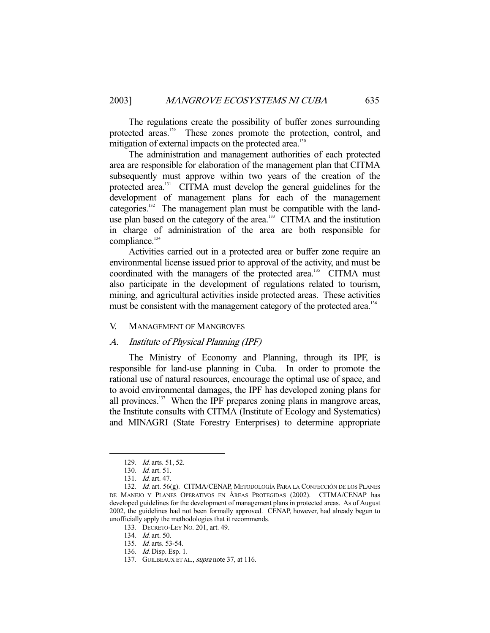The regulations create the possibility of buffer zones surrounding protected areas.<sup>129</sup> These zones promote the protection, control, and mitigation of external impacts on the protected area.<sup>130</sup>

 The administration and management authorities of each protected area are responsible for elaboration of the management plan that CITMA subsequently must approve within two years of the creation of the protected area.<sup>131</sup> CITMA must develop the general guidelines for the development of management plans for each of the management categories.<sup>132</sup> The management plan must be compatible with the landuse plan based on the category of the area.<sup>133</sup> CITMA and the institution in charge of administration of the area are both responsible for compliance.<sup>134</sup>

 Activities carried out in a protected area or buffer zone require an environmental license issued prior to approval of the activity, and must be coordinated with the managers of the protected area.<sup>135</sup> CITMA must also participate in the development of regulations related to tourism, mining, and agricultural activities inside protected areas. These activities must be consistent with the management category of the protected area.<sup>136</sup>

### V. MANAGEMENT OF MANGROVES

#### A. Institute of Physical Planning (IPF)

 The Ministry of Economy and Planning, through its IPF, is responsible for land-use planning in Cuba. In order to promote the rational use of natural resources, encourage the optimal use of space, and to avoid environmental damages, the IPF has developed zoning plans for all provinces.<sup>137</sup> When the IPF prepares zoning plans in mangrove areas, the Institute consults with CITMA (Institute of Ecology and Systematics) and MINAGRI (State Forestry Enterprises) to determine appropriate

 <sup>129.</sup> Id. arts. 51, 52.

 <sup>130.</sup> Id. art. 51.

 <sup>131.</sup> Id. art. 47.

<sup>132.</sup> Id. art. 56(g). CITMA/CENAP, METODOLOGÍA PARA LA CONFECCIÓN DE LOS PLANES DE MANEJO Y PLANES OPERATIVOS EN ÁREAS PROTEGIDAS (2002). CITMA/CENAP has developed guidelines for the development of management plans in protected areas. As of August 2002, the guidelines had not been formally approved. CENAP, however, had already begun to unofficially apply the methodologies that it recommends.

 <sup>133.</sup> DECRETO-LEY NO. 201, art. 49.

 <sup>134.</sup> Id. art. 50.

 <sup>135.</sup> Id. arts. 53-54.

 <sup>136.</sup> Id. Disp. Esp. 1.

<sup>137.</sup> GUILBEAUX ET AL., *supra* note 37, at 116.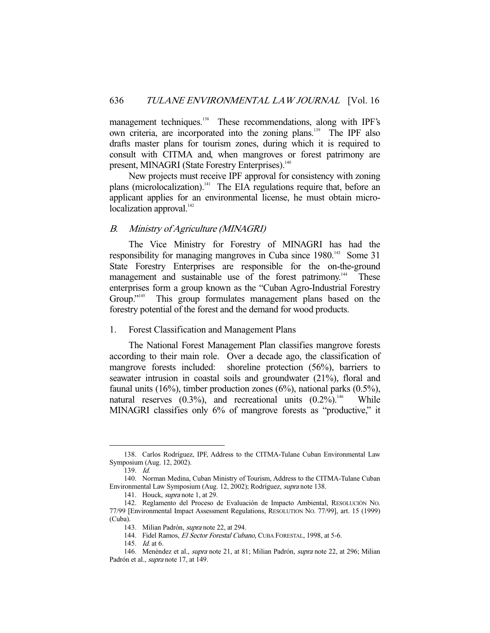management techniques.<sup>138</sup> These recommendations, along with IPF's own criteria, are incorporated into the zoning plans.<sup>139</sup> The IPF also drafts master plans for tourism zones, during which it is required to consult with CITMA and, when mangroves or forest patrimony are present, MINAGRI (State Forestry Enterprises).<sup>140</sup>

 New projects must receive IPF approval for consistency with zoning plans (microlocalization).<sup>141</sup> The EIA regulations require that, before an applicant applies for an environmental license, he must obtain micro $localization$  approval. $142$ 

# B. Ministry of Agriculture (MINAGRI)

 The Vice Ministry for Forestry of MINAGRI has had the responsibility for managing mangroves in Cuba since 1980.<sup>143</sup> Some 31 State Forestry Enterprises are responsible for the on-the-ground management and sustainable use of the forest patrimony.<sup>144</sup> These enterprises form a group known as the "Cuban Agro-Industrial Forestry Group."<sup>145</sup> This group formulates management plans based on the forestry potential of the forest and the demand for wood products.

# 1. Forest Classification and Management Plans

 The National Forest Management Plan classifies mangrove forests according to their main role. Over a decade ago, the classification of mangrove forests included: shoreline protection (56%), barriers to seawater intrusion in coastal soils and groundwater (21%), floral and faunal units (16%), timber production zones (6%), national parks (0.5%), natural reserves  $(0.3\%)$ , and recreational units  $(0.2\%)$ .<sup>146</sup> While MINAGRI classifies only 6% of mangrove forests as "productive," it

 <sup>138.</sup> Carlos Rodríguez, IPF, Address to the CITMA-Tulane Cuban Environmental Law Symposium (Aug. 12, 2002).

 <sup>139.</sup> Id.

 <sup>140.</sup> Norman Medina, Cuban Ministry of Tourism, Address to the CITMA-Tulane Cuban Environmental Law Symposium (Aug. 12, 2002); Rodríguez, supra note 138.

 <sup>141.</sup> Houck, supra note 1, at 29.

 <sup>142.</sup> Reglamento del Proceso de Evaluación de Impacto Ambiental, RESOLUCIÓN NO. 77/99 [Environmental Impact Assessment Regulations, RESOLUTION NO. 77/99], art. 15 (1999) (Cuba).

<sup>143.</sup> Milian Padrón, *supra* note 22, at 294.

<sup>144.</sup> Fidel Ramos, El Sector Forestal Cubano, CUBA FORESTAL, 1998, at 5-6.

 <sup>145.</sup> Id. at 6.

 <sup>146.</sup> Menéndez et al., supra note 21, at 81; Milian Padrón, supra note 22, at 296; Milian Padrón et al., supra note 17, at 149.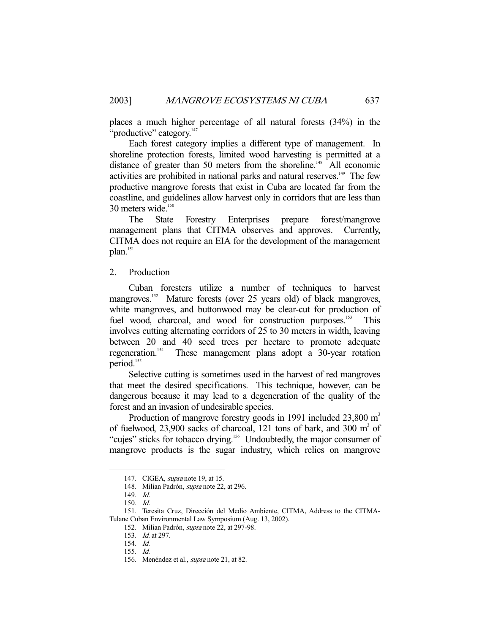places a much higher percentage of all natural forests (34%) in the "productive" category.<sup>147</sup>

 Each forest category implies a different type of management. In shoreline protection forests, limited wood harvesting is permitted at a distance of greater than 50 meters from the shoreline.<sup>148</sup> All economic activities are prohibited in national parks and natural reserves.<sup>149</sup> The few productive mangrove forests that exist in Cuba are located far from the coastline, and guidelines allow harvest only in corridors that are less than 30 meters wide.<sup>150</sup>

 The State Forestry Enterprises prepare forest/mangrove management plans that CITMA observes and approves. Currently, CITMA does not require an EIA for the development of the management plan.<sup>151</sup>

2. Production

 Cuban foresters utilize a number of techniques to harvest mangroves.<sup>152</sup> Mature forests (over 25 years old) of black mangroves, white mangroves, and buttonwood may be clear-cut for production of fuel wood, charcoal, and wood for construction purposes.<sup>153</sup> This involves cutting alternating corridors of 25 to 30 meters in width, leaving between 20 and 40 seed trees per hectare to promote adequate regeneration.154 These management plans adopt a 30-year rotation period.<sup>155</sup>

 Selective cutting is sometimes used in the harvest of red mangroves that meet the desired specifications. This technique, however, can be dangerous because it may lead to a degeneration of the quality of the forest and an invasion of undesirable species.

Production of mangrove forestry goods in 1991 included  $23,800 \text{ m}^3$ of fuelwood,  $23,900$  sacks of charcoal, 121 tons of bark, and 300 m<sup>3</sup> of "cujes" sticks for tobacco drying.<sup>156</sup> Undoubtedly, the major consumer of mangrove products is the sugar industry, which relies on mangrove

 <sup>147.</sup> CIGEA, supra note 19, at 15.

<sup>148.</sup> Milian Padrón, *supra* note 22, at 296.

 <sup>149.</sup> Id.

 <sup>150.</sup> Id.

 <sup>151.</sup> Teresita Cruz, Dirección del Medio Ambiente, CITMA, Address to the CITMA-Tulane Cuban Environmental Law Symposium (Aug. 13, 2002).

 <sup>152.</sup> Milian Padrón, supra note 22, at 297-98.

 <sup>153.</sup> Id. at 297.

 <sup>154.</sup> Id.

 <sup>155.</sup> Id.

<sup>156.</sup> Menéndez et al., *supra* note 21, at 82.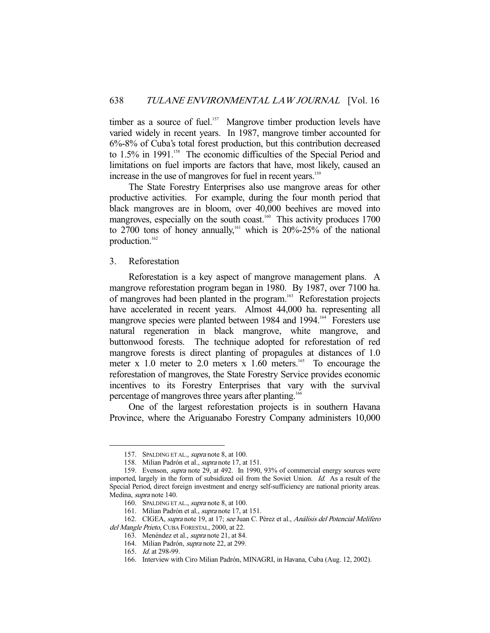timber as a source of fuel.<sup>157</sup> Mangrove timber production levels have varied widely in recent years. In 1987, mangrove timber accounted for 6%-8% of Cuba's total forest production, but this contribution decreased to 1.5% in 1991.<sup>158</sup> The economic difficulties of the Special Period and limitations on fuel imports are factors that have, most likely, caused an increase in the use of mangroves for fuel in recent years.<sup>159</sup>

 The State Forestry Enterprises also use mangrove areas for other productive activities. For example, during the four month period that black mangroves are in bloom, over 40,000 beehives are moved into mangroves, especially on the south coast.<sup>160</sup> This activity produces 1700 to 2700 tons of honey annually,<sup>161</sup> which is 20%-25% of the national production.162

3. Reforestation

 Reforestation is a key aspect of mangrove management plans. A mangrove reforestation program began in 1980. By 1987, over 7100 ha. of mangroves had been planted in the program.163 Reforestation projects have accelerated in recent years. Almost 44,000 ha. representing all mangrove species were planted between 1984 and 1994.<sup>164</sup> Foresters use natural regeneration in black mangrove, white mangrove, and buttonwood forests. The technique adopted for reforestation of red mangrove forests is direct planting of propagules at distances of 1.0 meter x 1.0 meter to 2.0 meters x 1.60 meters.<sup>165</sup> To encourage the reforestation of mangroves, the State Forestry Service provides economic incentives to its Forestry Enterprises that vary with the survival percentage of mangroves three years after planting.<sup>166</sup>

 One of the largest reforestation projects is in southern Havana Province, where the Ariguanabo Forestry Company administers 10,000

<sup>157.</sup> SPALDING ET AL., *supra* note 8, at 100.

<sup>158.</sup> Milian Padrón et al., *supra* note 17, at 151.

 <sup>159.</sup> Evenson, supra note 29, at 492. In 1990, 93% of commercial energy sources were imported, largely in the form of subsidized oil from the Soviet Union. Id. As a result of the Special Period, direct foreign investment and energy self-sufficiency are national priority areas. Medina, supra note 140.

 <sup>160.</sup> SPALDING ET AL., supra note 8, at 100.

<sup>161.</sup> Milian Padrón et al., *supra* note 17, at 151.

 <sup>162.</sup> CIGEA, supra note 19, at 17; see Juan C. Pérez et al., Análisis del Potencial Melífero del Mangle Prieto, CUBA FORESTAL, 2000, at 22.

<sup>163.</sup> Menéndez et al., *supra* note 21, at 84.

 <sup>164.</sup> Milian Padrón, supra note 22, at 299.

 <sup>165.</sup> Id. at 298-99.

 <sup>166.</sup> Interview with Ciro Milian Padrón, MINAGRI, in Havana, Cuba (Aug. 12, 2002).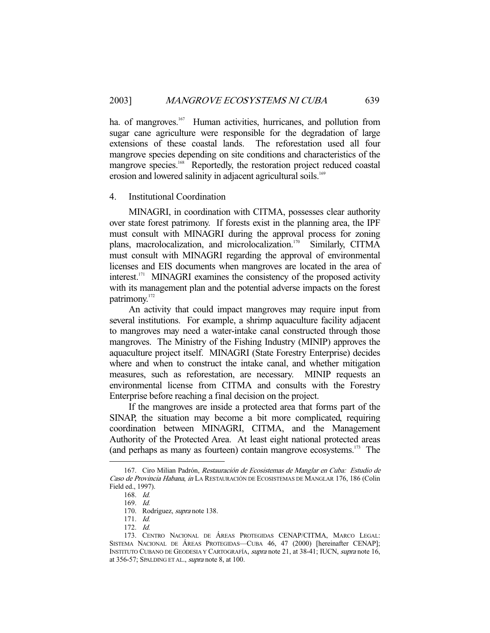ha. of mangroves.<sup>167</sup> Human activities, hurricanes, and pollution from sugar cane agriculture were responsible for the degradation of large extensions of these coastal lands. The reforestation used all four mangrove species depending on site conditions and characteristics of the mangrove species.<sup>168</sup> Reportedly, the restoration project reduced coastal erosion and lowered salinity in adjacent agricultural soils.<sup>169</sup>

#### 4. Institutional Coordination

 MINAGRI, in coordination with CITMA, possesses clear authority over state forest patrimony. If forests exist in the planning area, the IPF must consult with MINAGRI during the approval process for zoning plans, macrolocalization, and microlocalization.<sup>170</sup> Similarly, CITMA must consult with MINAGRI regarding the approval of environmental licenses and EIS documents when mangroves are located in the area of interest.171 MINAGRI examines the consistency of the proposed activity with its management plan and the potential adverse impacts on the forest patrimony.<sup>172</sup>

 An activity that could impact mangroves may require input from several institutions. For example, a shrimp aquaculture facility adjacent to mangroves may need a water-intake canal constructed through those mangroves. The Ministry of the Fishing Industry (MINIP) approves the aquaculture project itself. MINAGRI (State Forestry Enterprise) decides where and when to construct the intake canal, and whether mitigation measures, such as reforestation, are necessary. MINIP requests an environmental license from CITMA and consults with the Forestry Enterprise before reaching a final decision on the project.

 If the mangroves are inside a protected area that forms part of the SINAP, the situation may become a bit more complicated, requiring coordination between MINAGRI, CITMA, and the Management Authority of the Protected Area. At least eight national protected areas (and perhaps as many as fourteen) contain mangrove ecosystems.<sup>173</sup> The

 <sup>167.</sup> Ciro Milian Padrón, Restauración de Ecosistemas de Manglar en Cuba: Estudio de Caso de Provincia Habana, in LA RESTAURACIÓN DE ECOSISTEMAS DE MANGLAR 176, 186 (Colin Field ed., 1997).

 <sup>168.</sup> Id.

 <sup>169.</sup> Id.

<sup>170.</sup> Rodríguez, *supra* note 138.

 <sup>171.</sup> Id.

 <sup>172.</sup> Id.

 <sup>173.</sup> CENTRO NACIONAL DE ÁREAS PROTEGIDAS CENAP/CITMA, MARCO LEGAL: SISTEMA NACIONAL DE ÁREAS PROTEGIDAS—CUBA 46, 47 (2000) [hereinafter CENAP]; INSTITUTO CUBANO DE GEODESIA Y CARTOGRAFÍA, supra note 21, at 38-41; IUCN, supra note 16, at 356-57; SPALDING ET AL., supra note 8, at 100.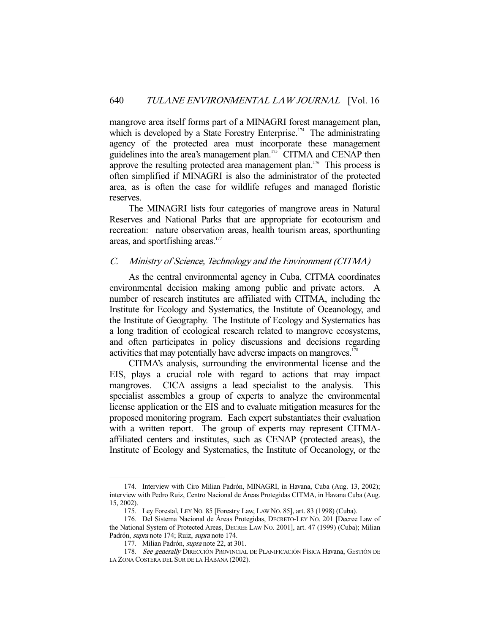mangrove area itself forms part of a MINAGRI forest management plan, which is developed by a State Forestry Enterprise.<sup>174</sup> The administrating agency of the protected area must incorporate these management guidelines into the area's management plan.<sup>175</sup> CITMA and CENAP then approve the resulting protected area management plan.<sup>176</sup> This process is often simplified if MINAGRI is also the administrator of the protected area, as is often the case for wildlife refuges and managed floristic reserves.

 The MINAGRI lists four categories of mangrove areas in Natural Reserves and National Parks that are appropriate for ecotourism and recreation: nature observation areas, health tourism areas, sporthunting areas, and sportfishing areas.<sup>177</sup>

# C. Ministry of Science, Technology and the Environment (CITMA)

 As the central environmental agency in Cuba, CITMA coordinates environmental decision making among public and private actors. A number of research institutes are affiliated with CITMA, including the Institute for Ecology and Systematics, the Institute of Oceanology, and the Institute of Geography. The Institute of Ecology and Systematics has a long tradition of ecological research related to mangrove ecosystems, and often participates in policy discussions and decisions regarding activities that may potentially have adverse impacts on mangroves.<sup>178</sup>

 CITMA's analysis, surrounding the environmental license and the EIS, plays a crucial role with regard to actions that may impact mangroves. CICA assigns a lead specialist to the analysis. This specialist assembles a group of experts to analyze the environmental license application or the EIS and to evaluate mitigation measures for the proposed monitoring program. Each expert substantiates their evaluation with a written report. The group of experts may represent CITMAaffiliated centers and institutes, such as CENAP (protected areas), the Institute of Ecology and Systematics, the Institute of Oceanology, or the

 <sup>174.</sup> Interview with Ciro Milian Padrón, MINAGRI, in Havana, Cuba (Aug. 13, 2002); interview with Pedro Ruiz, Centro Nacional de Áreas Protegidas CITMA, in Havana Cuba (Aug. 15, 2002).

 <sup>175.</sup> Ley Forestal, LEY NO. 85 [Forestry Law, LAW NO. 85], art. 83 (1998) (Cuba).

 <sup>176.</sup> Del Sistema Nacional de Áreas Protegidas, DECRETO-LEY NO. 201 [Decree Law of the National System of Protected Areas, DECREE LAW NO. 2001], art. 47 (1999) (Cuba); Milian Padrón, supra note 174; Ruiz, supra note 174.

<sup>177.</sup> Milian Padrón, *supra* note 22, at 301.

<sup>178.</sup> See generally DIRECCIÓN PROVINCIAL DE PLANIFICACIÓN FÍSICA Havana, GESTIÓN DE LA ZONA COSTERA DEL SUR DE LA HABANA (2002).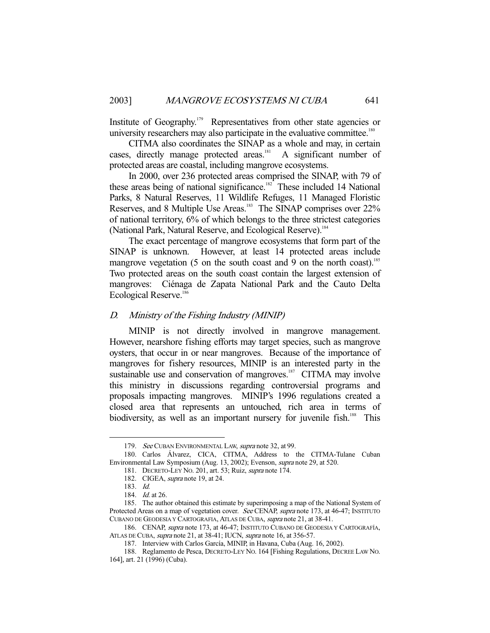Institute of Geography.<sup>179</sup> Representatives from other state agencies or university researchers may also participate in the evaluative committee.<sup>180</sup>

 CITMA also coordinates the SINAP as a whole and may, in certain cases, directly manage protected areas.<sup>181</sup> A significant number of protected areas are coastal, including mangrove ecosystems.

 In 2000, over 236 protected areas comprised the SINAP, with 79 of these areas being of national significance.<sup>182</sup> These included 14 National Parks, 8 Natural Reserves, 11 Wildlife Refuges, 11 Managed Floristic Reserves, and 8 Multiple Use Areas.<sup>183</sup> The SINAP comprises over 22% of national territory, 6% of which belongs to the three strictest categories (National Park, Natural Reserve, and Ecological Reserve).<sup>184</sup>

 The exact percentage of mangrove ecosystems that form part of the SINAP is unknown. However, at least 14 protected areas include mangrove vegetation  $(5 \text{ on the south coast and } 9 \text{ on the north coast})$ .<sup>185</sup> Two protected areas on the south coast contain the largest extension of mangroves: Ciénaga de Zapata National Park and the Cauto Delta Ecological Reserve.<sup>186</sup>

#### D. Ministry of the Fishing Industry (MINIP)

 MINIP is not directly involved in mangrove management. However, nearshore fishing efforts may target species, such as mangrove oysters, that occur in or near mangroves. Because of the importance of mangroves for fishery resources, MINIP is an interested party in the sustainable use and conservation of mangroves.<sup>187</sup> CITMA may involve this ministry in discussions regarding controversial programs and proposals impacting mangroves. MINIP's 1996 regulations created a closed area that represents an untouched, rich area in terms of biodiversity, as well as an important nursery for juvenile fish.<sup>188</sup> This

<sup>179.</sup> See CUBAN ENVIRONMENTAL LAW, supra note 32, at 99.

 <sup>180.</sup> Carlos Álvarez, CICA, CITMA, Address to the CITMA-Tulane Cuban Environmental Law Symposium (Aug. 13, 2002); Evenson, supra note 29, at 520.

 <sup>181.</sup> DECRETO-LEY NO. 201, art. 53; Ruiz, supra note 174.

<sup>182.</sup> CIGEA, *supra* note 19, at 24.

 <sup>183.</sup> Id.

 <sup>184.</sup> Id. at 26.

 <sup>185.</sup> The author obtained this estimate by superimposing a map of the National System of Protected Areas on a map of vegetation cover. See CENAP, supra note 173, at 46-47; INSTITUTO CUBANO DE GEODESIA Y CARTOGRAFIA, ATLAS DE CUBA, supra note 21, at 38-41.

 <sup>186.</sup> CENAP, supra note 173, at 46-47; INSTITUTO CUBANO DE GEODESIA Y CARTOGRAFÍA, ATLAS DE CUBA, supra note 21, at 38-41; IUCN, supra note 16, at 356-57.

 <sup>187.</sup> Interview with Carlos García, MINIP, in Havana, Cuba (Aug. 16, 2002).

 <sup>188.</sup> Reglamento de Pesca, DECRETO-LEY NO. 164 [Fishing Regulations, DECREE LAW NO. 164], art. 21 (1996) (Cuba).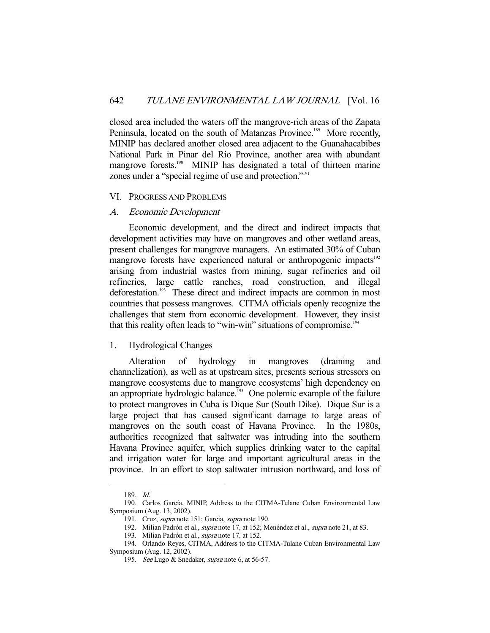closed area included the waters off the mangrove-rich areas of the Zapata Peninsula, located on the south of Matanzas Province.<sup>189</sup> More recently, MINIP has declared another closed area adjacent to the Guanahacabibes National Park in Pinar del Río Province, another area with abundant mangrove forests.<sup>190</sup> MINIP has designated a total of thirteen marine zones under a "special regime of use and protection."<sup>191</sup>

#### VI. PROGRESS AND PROBLEMS

#### A. Economic Development

 Economic development, and the direct and indirect impacts that development activities may have on mangroves and other wetland areas, present challenges for mangrove managers. An estimated 30% of Cuban mangrove forests have experienced natural or anthropogenic impacts<sup>192</sup> arising from industrial wastes from mining, sugar refineries and oil refineries, large cattle ranches, road construction, and illegal deforestation.<sup>193</sup> These direct and indirect impacts are common in most countries that possess mangroves. CITMA officials openly recognize the challenges that stem from economic development. However, they insist that this reality often leads to "win-win" situations of compromise.<sup>194</sup>

# 1. Hydrological Changes

 Alteration of hydrology in mangroves (draining and channelization), as well as at upstream sites, presents serious stressors on mangrove ecosystems due to mangrove ecosystems' high dependency on an appropriate hydrologic balance.<sup>195</sup> One polemic example of the failure to protect mangroves in Cuba is Dique Sur (South Dike). Dique Sur is a large project that has caused significant damage to large areas of mangroves on the south coast of Havana Province. In the 1980s, authorities recognized that saltwater was intruding into the southern Havana Province aquifer, which supplies drinking water to the capital and irrigation water for large and important agricultural areas in the province. In an effort to stop saltwater intrusion northward, and loss of

 <sup>189.</sup> Id.

 <sup>190.</sup> Carlos García, MINIP, Address to the CITMA-Tulane Cuban Environmental Law Symposium (Aug. 13, 2002).

<sup>191.</sup> Cruz, *supra* note 151; Garcia, *supra* note 190.

<sup>192.</sup> Milian Padrón et al., *supra* note 17, at 152; Menéndez et al., *supra* note 21, at 83.

<sup>193.</sup> Milian Padrón et al., *supra* note 17, at 152.

 <sup>194.</sup> Orlando Reyes, CITMA, Address to the CITMA-Tulane Cuban Environmental Law Symposium (Aug. 12, 2002).

<sup>195.</sup> See Lugo & Snedaker, supra note 6, at 56-57.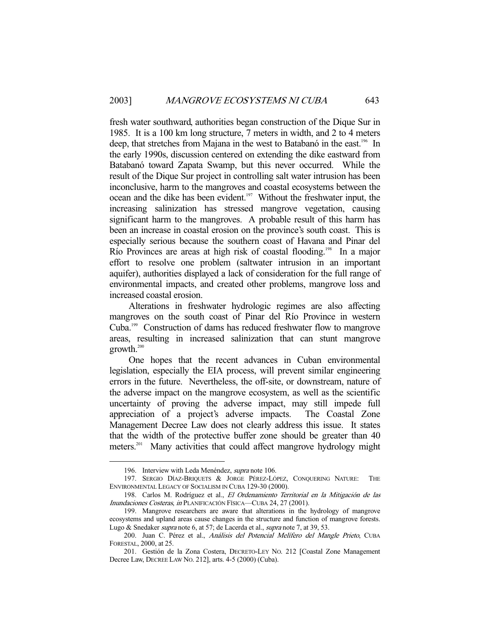fresh water southward, authorities began construction of the Dique Sur in 1985. It is a 100 km long structure, 7 meters in width, and 2 to 4 meters deep, that stretches from Majana in the west to Batabanó in the east.<sup>196</sup> In the early 1990s, discussion centered on extending the dike eastward from Batabanó toward Zapata Swamp, but this never occurred. While the result of the Dique Sur project in controlling salt water intrusion has been inconclusive, harm to the mangroves and coastal ecosystems between the ocean and the dike has been evident.<sup>197</sup> Without the freshwater input, the increasing salinization has stressed mangrove vegetation, causing significant harm to the mangroves. A probable result of this harm has been an increase in coastal erosion on the province's south coast. This is especially serious because the southern coast of Havana and Pinar del Río Provinces are areas at high risk of coastal flooding.<sup>198</sup> In a major effort to resolve one problem (saltwater intrusion in an important aquifer), authorities displayed a lack of consideration for the full range of environmental impacts, and created other problems, mangrove loss and increased coastal erosion.

 Alterations in freshwater hydrologic regimes are also affecting mangroves on the south coast of Pinar del Río Province in western Cuba.199 Construction of dams has reduced freshwater flow to mangrove areas, resulting in increased salinization that can stunt mangrove growth.<sup>200</sup>

 One hopes that the recent advances in Cuban environmental legislation, especially the EIA process, will prevent similar engineering errors in the future. Nevertheless, the off-site, or downstream, nature of the adverse impact on the mangrove ecosystem, as well as the scientific uncertainty of proving the adverse impact, may still impede full appreciation of a project's adverse impacts. The Coastal Zone Management Decree Law does not clearly address this issue. It states that the width of the protective buffer zone should be greater than 40 meters.<sup>201</sup> Many activities that could affect mangrove hydrology might

 <sup>196.</sup> Interview with Leda Menéndez, supra note 106.

 <sup>197.</sup> SERGIO DÍAZ-BRIQUETS & JORGE PÉREZ-LÓPEZ, CONQUERING NATURE: THE ENVIRONMENTAL LEGACY OF SOCIALISM IN CUBA 129-30 (2000).

 <sup>198.</sup> Carlos M. Rodríguez et al., El Ordenamiento Territorial en la Mitigación de las Inundaciones Costeras, in PLANIFICACIÓN FÍSICA—CUBA 24, 27 (2001).

 <sup>199.</sup> Mangrove researchers are aware that alterations in the hydrology of mangrove ecosystems and upland areas cause changes in the structure and function of mangrove forests. Lugo & Snedaker *supra* note 6, at 57; de Lacerda et al., *supra* note 7, at 39, 53.

<sup>200.</sup> Juan C. Pérez et al., Análisis del Potencial Melífero del Mangle Prieto, CUBA FORESTAL, 2000, at 25.

 <sup>201.</sup> Gestión de la Zona Costera, DECRETO-LEY NO. 212 [Coastal Zone Management Decree Law, DECREE LAW NO. 212], arts. 4-5 (2000) (Cuba).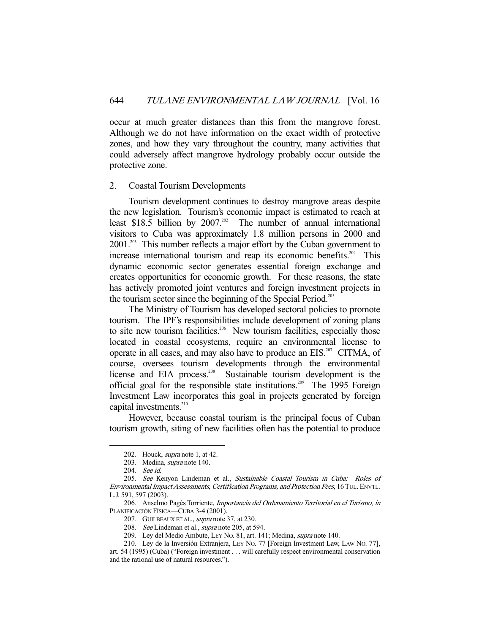occur at much greater distances than this from the mangrove forest. Although we do not have information on the exact width of protective zones, and how they vary throughout the country, many activities that could adversely affect mangrove hydrology probably occur outside the protective zone.

#### 2. Coastal Tourism Developments

 Tourism development continues to destroy mangrove areas despite the new legislation. Tourism's economic impact is estimated to reach at least \$18.5 billion by  $2007^{202}$  The number of annual international visitors to Cuba was approximately 1.8 million persons in 2000 and 2001.<sup>203</sup> This number reflects a major effort by the Cuban government to increase international tourism and reap its economic benefits.<sup>204</sup> This dynamic economic sector generates essential foreign exchange and creates opportunities for economic growth. For these reasons, the state has actively promoted joint ventures and foreign investment projects in the tourism sector since the beginning of the Special Period.<sup>205</sup>

 The Ministry of Tourism has developed sectoral policies to promote tourism. The IPF's responsibilities include development of zoning plans to site new tourism facilities.<sup>206</sup> New tourism facilities, especially those located in coastal ecosystems, require an environmental license to operate in all cases, and may also have to produce an EIS.<sup>207</sup> CITMA, of course, oversees tourism developments through the environmental license and EIA process.<sup>208</sup> Sustainable tourism development is the official goal for the responsible state institutions.<sup>209</sup> The 1995 Foreign Investment Law incorporates this goal in projects generated by foreign capital investments. $210$ 

 However, because coastal tourism is the principal focus of Cuban tourism growth, siting of new facilities often has the potential to produce

 <sup>202.</sup> Houck, supra note 1, at 42.

 <sup>203.</sup> Medina, supra note 140.

 <sup>204.</sup> See id.

<sup>205.</sup> See Kenyon Lindeman et al., Sustainable Coastal Tourism in Cuba: Roles of Environmental Impact Assessments, Certification Programs, and Protection Fees, 16 TUL. ENVTL. L.J. 591, 597 (2003).

 <sup>206.</sup> Anselmo Pagés Torriente, Importancia del Ordenamiento Territorial en el Turismo, in PLANIFICACIÓN FÍSICA—CUBA 3-4 (2001).

<sup>207.</sup> GUILBEAUX ET AL., *supra* note 37, at 230.

<sup>208.</sup> See Lindeman et al., supra note 205, at 594.

<sup>209.</sup> Ley del Medio Ambute, LEY No. 81, art. 141; Medina, supra note 140.

 <sup>210.</sup> Ley de la Inversión Extranjera, LEY NO. 77 [Foreign Investment Law, LAW NO. 77], art. 54 (1995) (Cuba) ("Foreign investment . . . will carefully respect environmental conservation and the rational use of natural resources.").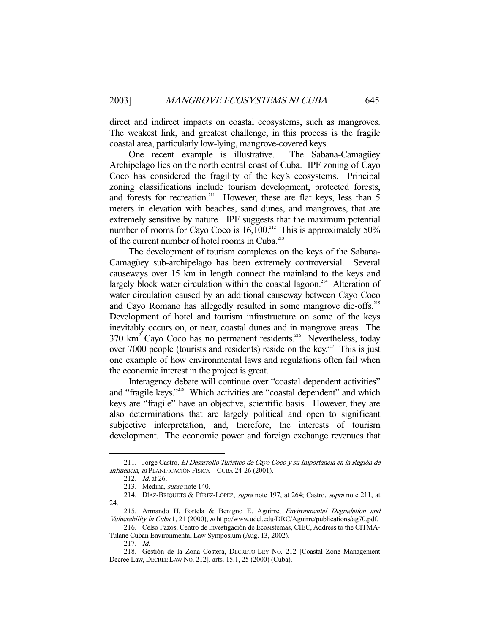direct and indirect impacts on coastal ecosystems, such as mangroves. The weakest link, and greatest challenge, in this process is the fragile coastal area, particularly low-lying, mangrove-covered keys.

 One recent example is illustrative. The Sabana-Camagüey Archipelago lies on the north central coast of Cuba. IPF zoning of Cayo Coco has considered the fragility of the key's ecosystems. Principal zoning classifications include tourism development, protected forests, and forests for recreation.<sup>211</sup> However, these are flat keys, less than 5 meters in elevation with beaches, sand dunes, and mangroves, that are extremely sensitive by nature. IPF suggests that the maximum potential number of rooms for Cayo Coco is  $16,100$ .<sup>212</sup> This is approximately 50% of the current number of hotel rooms in  $Cuba$ <sup>213</sup>

 The development of tourism complexes on the keys of the Sabana-Camagüey sub-archipelago has been extremely controversial. Several causeways over 15 km in length connect the mainland to the keys and largely block water circulation within the coastal lagoon.<sup>214</sup> Alteration of water circulation caused by an additional causeway between Cayo Coco and Cayo Romano has allegedly resulted in some mangrove die-offs.<sup>215</sup> Development of hotel and tourism infrastructure on some of the keys inevitably occurs on, or near, coastal dunes and in mangrove areas. The  $370 \text{ km}^2$  Cayo Coco has no permanent residents.<sup>216</sup> Nevertheless, today over 7000 people (tourists and residents) reside on the key.<sup>217</sup> This is just one example of how environmental laws and regulations often fail when the economic interest in the project is great.

 Interagency debate will continue over "coastal dependent activities" and "fragile keys."<sup>218</sup> Which activities are "coastal dependent" and which keys are "fragile" have an objective, scientific basis. However, they are also determinations that are largely political and open to significant subjective interpretation, and, therefore, the interests of tourism development. The economic power and foreign exchange revenues that

 <sup>211.</sup> Jorge Castro, El Desarrollo Turístico de Cayo Coco y su Importancia en la Región de Influencia, in PLANIFICACIÓN FÍSICA—CUBA 24-26 (2001).

 <sup>212.</sup> Id. at 26.

 <sup>213.</sup> Medina, supra note 140.

 <sup>214.</sup> DÍAZ-BRIQUETS & PÉREZ-LÓPEZ, supra note 197, at 264; Castro, supra note 211, at 24.

 <sup>215.</sup> Armando H. Portela & Benigno E. Aguirre, Environmental Degradation and Vulnerability in Cuba 1, 21 (2000), at http://www.udel.edu/DRC/Aguirre/publications/ag70.pdf. 216. Celso Pazos, Centro de Investigación de Ecosistemas, CIEC, Address to the CITMA-

Tulane Cuban Environmental Law Symposium (Aug. 13, 2002).

 <sup>217.</sup> Id.

 <sup>218.</sup> Gestión de la Zona Costera, DECRETO-LEY NO. 212 [Coastal Zone Management Decree Law, DECREE LAW NO. 212], arts. 15.1, 25 (2000) (Cuba).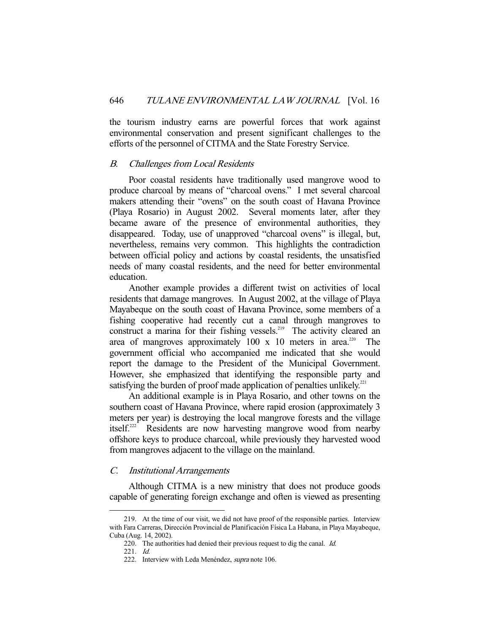the tourism industry earns are powerful forces that work against environmental conservation and present significant challenges to the efforts of the personnel of CITMA and the State Forestry Service.

#### B. Challenges from Local Residents

 Poor coastal residents have traditionally used mangrove wood to produce charcoal by means of "charcoal ovens." I met several charcoal makers attending their "ovens" on the south coast of Havana Province (Playa Rosario) in August 2002. Several moments later, after they became aware of the presence of environmental authorities, they disappeared. Today, use of unapproved "charcoal ovens" is illegal, but, nevertheless, remains very common. This highlights the contradiction between official policy and actions by coastal residents, the unsatisfied needs of many coastal residents, and the need for better environmental education.

 Another example provides a different twist on activities of local residents that damage mangroves. In August 2002, at the village of Playa Mayabeque on the south coast of Havana Province, some members of a fishing cooperative had recently cut a canal through mangroves to construct a marina for their fishing vessels.<sup>219</sup> The activity cleared an area of mangroves approximately  $100 \times 10$  meters in area.<sup>220</sup> The government official who accompanied me indicated that she would report the damage to the President of the Municipal Government. However, she emphasized that identifying the responsible party and satisfying the burden of proof made application of penalties unlikely.<sup>221</sup>

 An additional example is in Playa Rosario, and other towns on the southern coast of Havana Province, where rapid erosion (approximately 3 meters per year) is destroying the local mangrove forests and the village itself.<sup>222</sup> Residents are now harvesting mangrove wood from nearby offshore keys to produce charcoal, while previously they harvested wood from mangroves adjacent to the village on the mainland.

#### C. Institutional Arrangements

 Although CITMA is a new ministry that does not produce goods capable of generating foreign exchange and often is viewed as presenting

 <sup>219.</sup> At the time of our visit, we did not have proof of the responsible parties. Interview with Fara Carreras, Dirección Provincial de Planificación Física La Habana, in Playa Mayabeque, Cuba (Aug. 14, 2002).

<sup>220.</sup> The authorities had denied their previous request to dig the canal. Id.

 <sup>221.</sup> Id.

<sup>222.</sup> Interview with Leda Menéndez, supra note 106.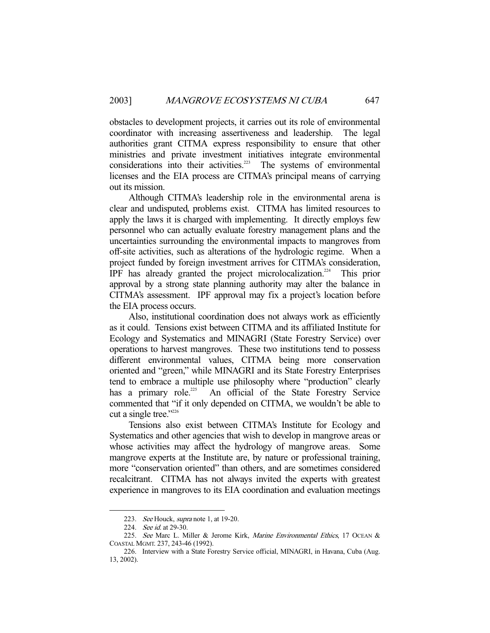obstacles to development projects, it carries out its role of environmental coordinator with increasing assertiveness and leadership. The legal authorities grant CITMA express responsibility to ensure that other ministries and private investment initiatives integrate environmental considerations into their activities.<sup>223</sup> The systems of environmental licenses and the EIA process are CITMA's principal means of carrying out its mission.

 Although CITMA's leadership role in the environmental arena is clear and undisputed, problems exist. CITMA has limited resources to apply the laws it is charged with implementing. It directly employs few personnel who can actually evaluate forestry management plans and the uncertainties surrounding the environmental impacts to mangroves from off-site activities, such as alterations of the hydrologic regime. When a project funded by foreign investment arrives for CITMA's consideration, IPF has already granted the project microlocalization.<sup>224</sup> This prior approval by a strong state planning authority may alter the balance in CITMA's assessment. IPF approval may fix a project's location before the EIA process occurs.

 Also, institutional coordination does not always work as efficiently as it could. Tensions exist between CITMA and its affiliated Institute for Ecology and Systematics and MINAGRI (State Forestry Service) over operations to harvest mangroves. These two institutions tend to possess different environmental values, CITMA being more conservation oriented and "green," while MINAGRI and its State Forestry Enterprises tend to embrace a multiple use philosophy where "production" clearly has a primary role.<sup>225</sup> An official of the State Forestry Service An official of the State Forestry Service commented that "if it only depended on CITMA, we wouldn't be able to cut a single tree."<sup>226</sup>

 Tensions also exist between CITMA's Institute for Ecology and Systematics and other agencies that wish to develop in mangrove areas or whose activities may affect the hydrology of mangrove areas. Some mangrove experts at the Institute are, by nature or professional training, more "conservation oriented" than others, and are sometimes considered recalcitrant. CITMA has not always invited the experts with greatest experience in mangroves to its EIA coordination and evaluation meetings

<sup>223.</sup> See Houck, supra note 1, at 19-20.

<sup>224.</sup> See id. at 29-30.

<sup>225.</sup> See Marc L. Miller & Jerome Kirk, Marine Environmental Ethics, 17 OCEAN & COASTAL MGMT. 237, 243-46 (1992).

 <sup>226.</sup> Interview with a State Forestry Service official, MINAGRI, in Havana, Cuba (Aug. 13, 2002).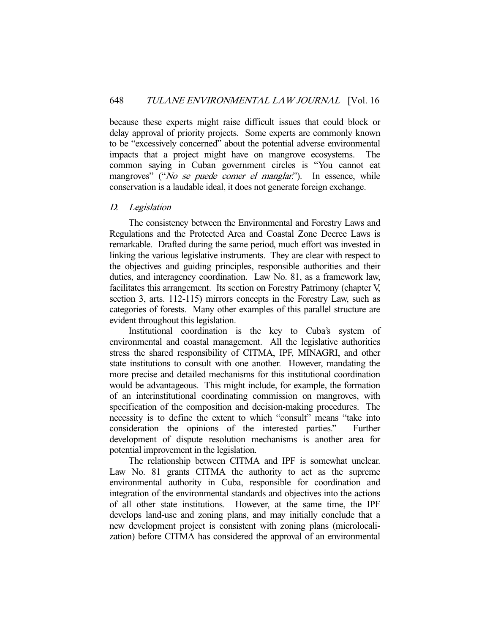because these experts might raise difficult issues that could block or delay approval of priority projects. Some experts are commonly known to be "excessively concerned" about the potential adverse environmental impacts that a project might have on mangrove ecosystems. The common saying in Cuban government circles is "You cannot eat mangroves" ("No se puede comer el manglar."). In essence, while conservation is a laudable ideal, it does not generate foreign exchange.

#### D. Legislation

 The consistency between the Environmental and Forestry Laws and Regulations and the Protected Area and Coastal Zone Decree Laws is remarkable. Drafted during the same period, much effort was invested in linking the various legislative instruments. They are clear with respect to the objectives and guiding principles, responsible authorities and their duties, and interagency coordination. Law No. 81, as a framework law, facilitates this arrangement. Its section on Forestry Patrimony (chapter V, section 3, arts. 112-115) mirrors concepts in the Forestry Law, such as categories of forests. Many other examples of this parallel structure are evident throughout this legislation.

 Institutional coordination is the key to Cuba's system of environmental and coastal management. All the legislative authorities stress the shared responsibility of CITMA, IPF, MINAGRI, and other state institutions to consult with one another. However, mandating the more precise and detailed mechanisms for this institutional coordination would be advantageous. This might include, for example, the formation of an interinstitutional coordinating commission on mangroves, with specification of the composition and decision-making procedures. The necessity is to define the extent to which "consult" means "take into consideration the opinions of the interested parties." Further development of dispute resolution mechanisms is another area for potential improvement in the legislation.

 The relationship between CITMA and IPF is somewhat unclear. Law No. 81 grants CITMA the authority to act as the supreme environmental authority in Cuba, responsible for coordination and integration of the environmental standards and objectives into the actions of all other state institutions. However, at the same time, the IPF develops land-use and zoning plans, and may initially conclude that a new development project is consistent with zoning plans (microlocalization) before CITMA has considered the approval of an environmental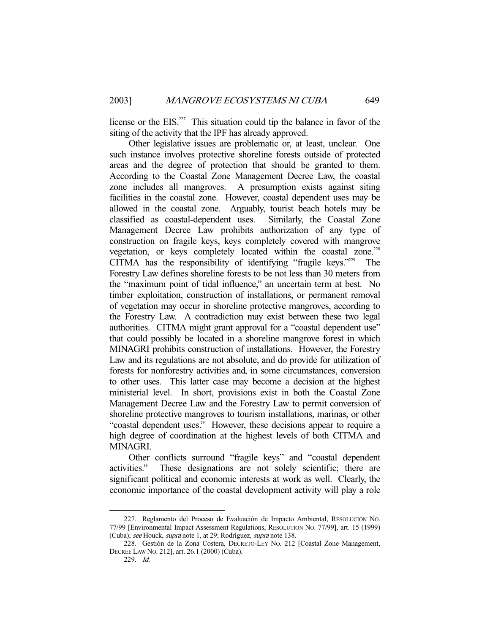license or the  $EIS<sub>1</sub><sup>227</sup>$  This situation could tip the balance in favor of the siting of the activity that the IPF has already approved.

 Other legislative issues are problematic or, at least, unclear. One such instance involves protective shoreline forests outside of protected areas and the degree of protection that should be granted to them. According to the Coastal Zone Management Decree Law, the coastal zone includes all mangroves. A presumption exists against siting facilities in the coastal zone. However, coastal dependent uses may be allowed in the coastal zone. Arguably, tourist beach hotels may be classified as coastal-dependent uses. Similarly, the Coastal Zone Management Decree Law prohibits authorization of any type of construction on fragile keys, keys completely covered with mangrove vegetation, or keys completely located within the coastal zone.<sup>228</sup> CITMA has the responsibility of identifying "fragile keys."229 The Forestry Law defines shoreline forests to be not less than 30 meters from the "maximum point of tidal influence," an uncertain term at best. No timber exploitation, construction of installations, or permanent removal of vegetation may occur in shoreline protective mangroves, according to the Forestry Law. A contradiction may exist between these two legal authorities. CITMA might grant approval for a "coastal dependent use" that could possibly be located in a shoreline mangrove forest in which MINAGRI prohibits construction of installations. However, the Forestry Law and its regulations are not absolute, and do provide for utilization of forests for nonforestry activities and, in some circumstances, conversion to other uses. This latter case may become a decision at the highest ministerial level. In short, provisions exist in both the Coastal Zone Management Decree Law and the Forestry Law to permit conversion of shoreline protective mangroves to tourism installations, marinas, or other "coastal dependent uses." However, these decisions appear to require a high degree of coordination at the highest levels of both CITMA and MINAGRI.

 Other conflicts surround "fragile keys" and "coastal dependent activities." These designations are not solely scientific; there are significant political and economic interests at work as well. Clearly, the economic importance of the coastal development activity will play a role

 <sup>227.</sup> Reglamento del Proceso de Evaluación de Impacto Ambiental, RESOLUCIÓN NO. 77/99 [Environmental Impact Assessment Regulations, RESOLUTION NO. 77/99], art. 15 (1999) (Cuba); see Houck, supra note 1, at 29; Rodríguez, supra note 138.

 <sup>228.</sup> Gestión de la Zona Costera, DECRETO-LEY NO. 212 [Coastal Zone Management, DECREE LAW NO. 212], art. 26.1 (2000) (Cuba).

 <sup>229.</sup> Id.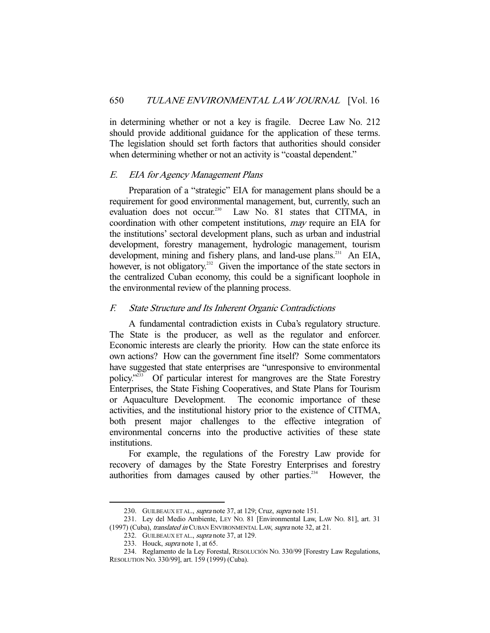in determining whether or not a key is fragile. Decree Law No. 212 should provide additional guidance for the application of these terms. The legislation should set forth factors that authorities should consider when determining whether or not an activity is "coastal dependent."

### E. EIA for Agency Management Plans

 Preparation of a "strategic" EIA for management plans should be a requirement for good environmental management, but, currently, such an evaluation does not occur.<sup>230</sup> Law No. 81 states that CITMA, in coordination with other competent institutions, may require an EIA for the institutions' sectoral development plans, such as urban and industrial development, forestry management, hydrologic management, tourism development, mining and fishery plans, and land-use plans.<sup>231</sup> An EIA, however, is not obligatory.<sup>232</sup> Given the importance of the state sectors in the centralized Cuban economy, this could be a significant loophole in the environmental review of the planning process.

# F. State Structure and Its Inherent Organic Contradictions

 A fundamental contradiction exists in Cuba's regulatory structure. The State is the producer, as well as the regulator and enforcer. Economic interests are clearly the priority. How can the state enforce its own actions? How can the government fine itself? Some commentators have suggested that state enterprises are "unresponsive to environmental policy."233 Of particular interest for mangroves are the State Forestry Enterprises, the State Fishing Cooperatives, and State Plans for Tourism or Aquaculture Development. The economic importance of these activities, and the institutional history prior to the existence of CITMA, both present major challenges to the effective integration of environmental concerns into the productive activities of these state institutions.

 For example, the regulations of the Forestry Law provide for recovery of damages by the State Forestry Enterprises and forestry authorities from damages caused by other parties.<sup>234</sup> However, the

<sup>230.</sup> GUILBEAUX ET AL., supra note 37, at 129; Cruz, supra note 151.

 <sup>231.</sup> Ley del Medio Ambiente, LEY NO. 81 [Environmental Law, LAW NO. 81], art. 31 (1997) (Cuba), translated in CUBAN ENVIRONMENTAL LAW, supra note 32, at 21.

<sup>232.</sup> GUILBEAUX ET AL., *supra* note 37, at 129.

<sup>233.</sup> Houck, *supra* note 1, at 65.

 <sup>234.</sup> Reglamento de la Ley Forestal, RESOLUCIÓN NO. 330/99 [Forestry Law Regulations, RESOLUTION NO. 330/99], art. 159 (1999) (Cuba).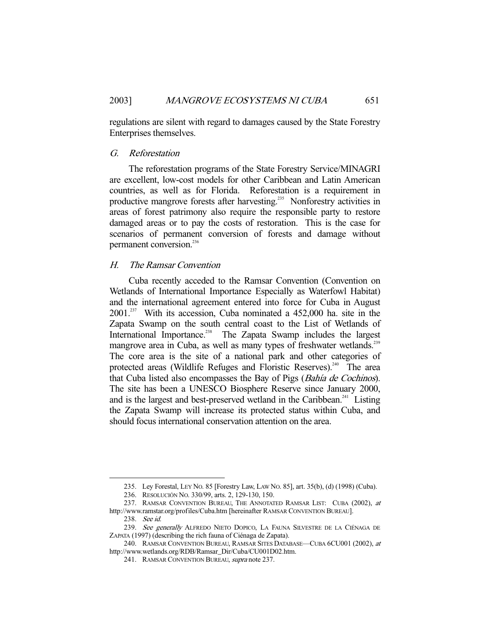regulations are silent with regard to damages caused by the State Forestry Enterprises themselves.

# G. Reforestation

 The reforestation programs of the State Forestry Service/MINAGRI are excellent, low-cost models for other Caribbean and Latin American countries, as well as for Florida. Reforestation is a requirement in productive mangrove forests after harvesting.<sup>235</sup> Nonforestry activities in areas of forest patrimony also require the responsible party to restore damaged areas or to pay the costs of restoration. This is the case for scenarios of permanent conversion of forests and damage without permanent conversion.<sup>236</sup>

#### H. The Ramsar Convention

 Cuba recently acceded to the Ramsar Convention (Convention on Wetlands of International Importance Especially as Waterfowl Habitat) and the international agreement entered into force for Cuba in August  $2001.^{237}$  With its accession, Cuba nominated a 452,000 ha. site in the Zapata Swamp on the south central coast to the List of Wetlands of International Importance.<sup>238</sup> The Zapata Swamp includes the largest mangrove area in Cuba, as well as many types of freshwater wetlands.<sup>239</sup> The core area is the site of a national park and other categories of protected areas (Wildlife Refuges and Floristic Reserves).<sup>240</sup> The area that Cuba listed also encompasses the Bay of Pigs (Bahía de Cochinos). The site has been a UNESCO Biosphere Reserve since January 2000, and is the largest and best-preserved wetland in the Caribbean.<sup>241</sup> Listing the Zapata Swamp will increase its protected status within Cuba, and should focus international conservation attention on the area.

 <sup>235.</sup> Ley Forestal, LEY NO. 85 [Forestry Law, LAW NO. 85], art. 35(b), (d) (1998) (Cuba).

 <sup>236.</sup> RESOLUCIÓN NO. 330/99, arts. 2, 129-130, 150.

<sup>237.</sup> RAMSAR CONVENTION BUREAU, THE ANNOTATED RAMSAR LIST: CUBA (2002), at http://www.ramstar.org/profiles/Cuba.htm [hereinafter RAMSAR CONVENTION BUREAU].

 <sup>238.</sup> See id.

<sup>239.</sup> See generally ALFREDO NIETO DOPICO, LA FAUNA SILVESTRE DE LA CIÉNAGA DE ZAPATA (1997) (describing the rich fauna of Ciénaga de Zapata).

<sup>240.</sup> RAMSAR CONVENTION BUREAU, RAMSAR SITES DATABASE—CUBA 6CU001 (2002), at http://www.wetlands.org/RDB/Ramsar\_Dir/Cuba/CU001D02.htm.

<sup>241.</sup> RAMSAR CONVENTION BUREAU, supra note 237.